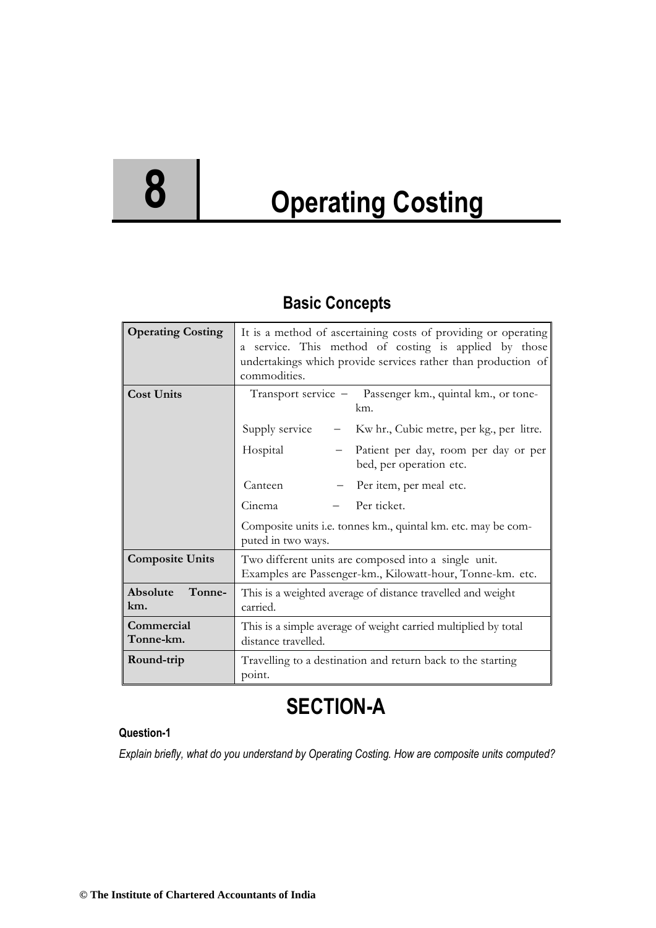# **8 Operating Costing**

# **Basic Concepts**

| <b>Operating Costing</b>  | It is a method of ascertaining costs of providing or operating<br>a service. This method of costing is applied by those<br>undertakings which provide services rather than production of<br>commodities. |  |  |
|---------------------------|----------------------------------------------------------------------------------------------------------------------------------------------------------------------------------------------------------|--|--|
| <b>Cost Units</b>         | Transport service - Passenger km., quintal km., or tone-<br>km.                                                                                                                                          |  |  |
|                           | Supply service<br>Kw hr., Cubic metre, per kg., per litre.<br>$ \,$                                                                                                                                      |  |  |
|                           | Hospital<br>Patient per day, room per day or per<br>$-$<br>bed, per operation etc.                                                                                                                       |  |  |
|                           | Canteen<br>Per item, per meal etc.                                                                                                                                                                       |  |  |
|                           | Per ticket.<br>Cinema                                                                                                                                                                                    |  |  |
|                           | Composite units i.e. tonnes km., quintal km. etc. may be com-<br>puted in two ways.                                                                                                                      |  |  |
| <b>Composite Units</b>    | Two different units are composed into a single unit.<br>Examples are Passenger-km., Kilowatt-hour, Tonne-km. etc.                                                                                        |  |  |
| Absolute<br>Tonne-<br>km. | This is a weighted average of distance travelled and weight<br>carried.                                                                                                                                  |  |  |
| Commercial<br>Tonne-km.   | This is a simple average of weight carried multiplied by total<br>distance travelled.                                                                                                                    |  |  |
| Round-trip                | Travelling to a destination and return back to the starting<br>point.                                                                                                                                    |  |  |

# **SECTION-A**

#### **Question-1**

*Explain briefly, what do you understand by Operating Costing. How are composite units computed?*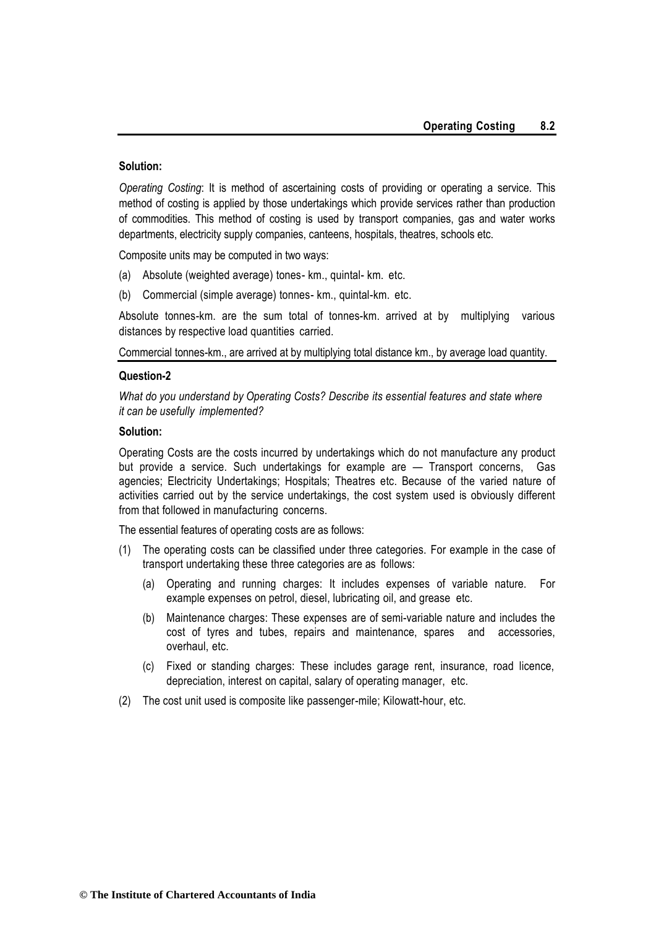#### **Solution:**

*Operating Costing*: It is method of ascertaining costs of providing or operating a service. This method of costing is applied by those undertakings which provide services rather than production of commodities. This method of costing is used by transport companies, gas and water works departments, electricity supply companies, canteens, hospitals, theatres, schools etc.

Composite units may be computed in two ways:

- (a) Absolute (weighted average) tones- km., quintal- km. etc.
- (b) Commercial (simple average) tonnes- km., quintal-km. etc.

Absolute tonnes-km. are the sum total of tonnes-km. arrived at by multiplying various distances by respective load quantities carried.

Commercial tonnes-km., are arrived at by multiplying total distance km., by average load quantity.

#### **Question-2**

*What do you understand by Operating Costs? Describe its essential features and state where it can be usefully implemented?*

#### **Solution:**

Operating Costs are the costs incurred by undertakings which do not manufacture any product but provide a service. Such undertakings for example are — Transport concerns, Gas agencies; Electricity Undertakings; Hospitals; Theatres etc. Because of the varied nature of activities carried out by the service undertakings, the cost system used is obviously different from that followed in manufacturing concerns.

The essential features of operating costs are as follows:

- (1) The operating costs can be classified under three categories. For example in the case of transport undertaking these three categories are as follows:
	- (a) Operating and running charges: It includes expenses of variable nature. For example expenses on petrol, diesel, lubricating oil, and grease etc.
	- (b) Maintenance charges: These expenses are of semi-variable nature and includes the cost of tyres and tubes, repairs and maintenance, spares and accessories, overhaul, etc.
	- (c) Fixed or standing charges: These includes garage rent, insurance, road licence, depreciation, interest on capital, salary of operating manager, etc.
- (2) The cost unit used is composite like passenger-mile; Kilowatt-hour, etc.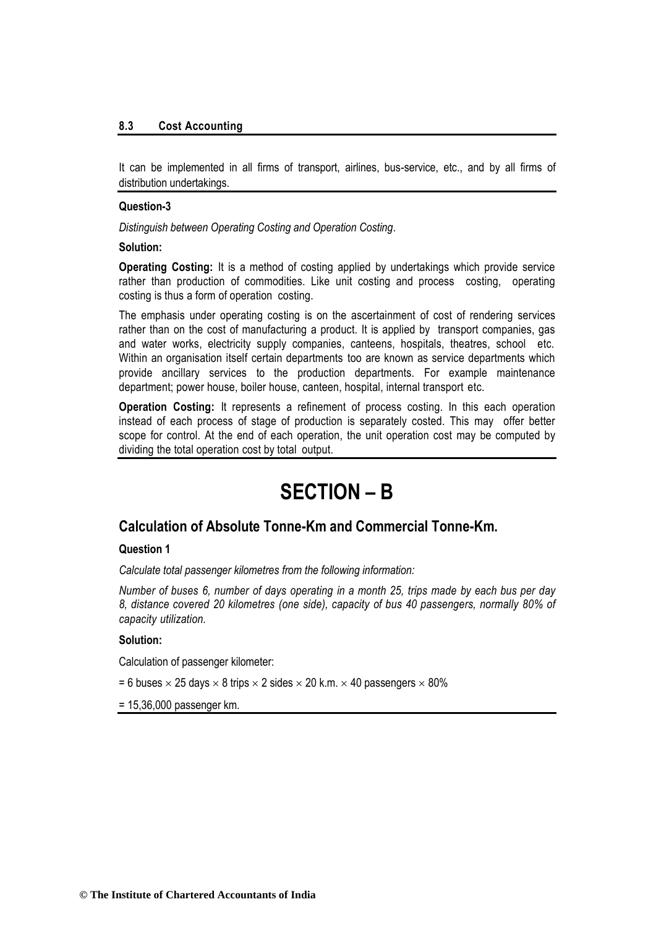#### **8.3 Cost Accounting**

It can be implemented in all firms of transport, airlines, bus-service, etc., and by all firms of distribution undertakings.

#### **Question-3**

*Distinguish between Operating Costing and Operation Costing*.

#### **Solution:**

**Operating Costing:** It is a method of costing applied by undertakings which provide service rather than production of commodities. Like unit costing and process costing, operating costing is thus a form of operation costing.

The emphasis under operating costing is on the ascertainment of cost of rendering services rather than on the cost of manufacturing a product. It is applied by transport companies, gas and water works, electricity supply companies, canteens, hospitals, theatres, school etc. Within an organisation itself certain departments too are known as service departments which provide ancillary services to the production departments. For example maintenance department; power house, boiler house, canteen, hospital, internal transport etc.

**Operation Costing:** It represents a refinement of process costing. In this each operation instead of each process of stage of production is separately costed. This may offer better scope for control. At the end of each operation, the unit operation cost may be computed by dividing the total operation cost by total output.

# **SECTION – B**

#### **Calculation of Absolute Tonne-Km and Commercial Tonne-Km.**

#### **Question 1**

*Calculate total passenger kilometres from the following information:*

*Number of buses 6, number of days operating in a month 25, trips made by each bus per day 8, distance covered 20 kilometres (one side), capacity of bus 40 passengers, normally 80% of capacity utilization.*

#### **Solution:**

Calculation of passenger kilometer:

= 6 buses  $\times$  25 days  $\times$  8 trips  $\times$  2 sides  $\times$  20 k.m.  $\times$  40 passengers  $\times$  80%

= 15,36,000 passenger km.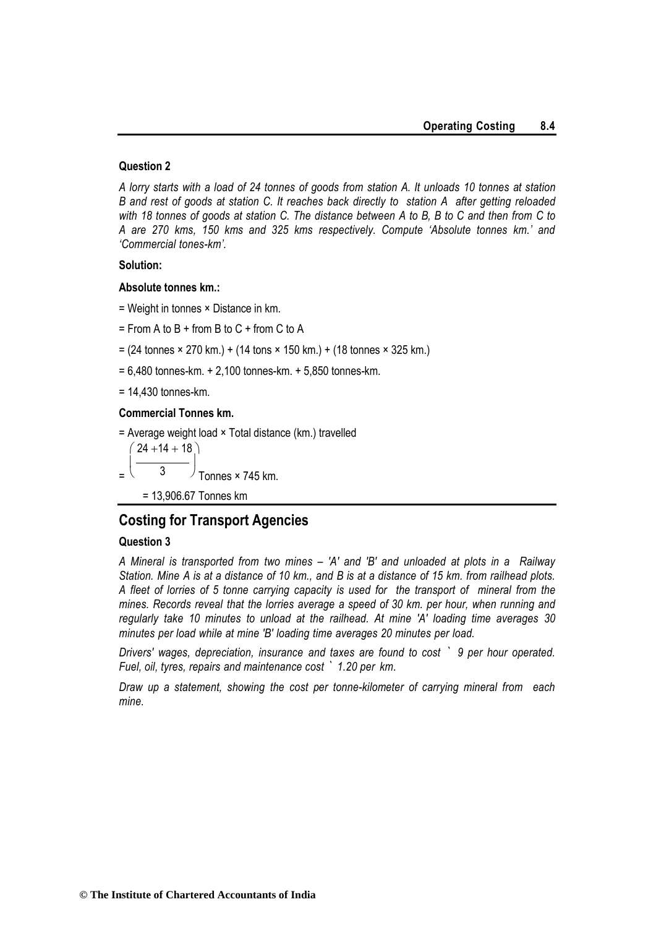#### **Question 2**

*A lorry starts with a load of 24 tonnes of goods from station A. It unloads 10 tonnes at station B and rest of goods at station C. It reaches back directly to station A after getting reloaded with 18 tonnes of goods at station C. The distance between A to B, B to C and then from C to A are 270 kms, 150 kms and 325 kms respectively. Compute 'Absolute tonnes km.' and 'Commercial tones-km'.*

#### **Solution:**

#### **Absolute tonnes km.:**

- = Weight in tonnes × Distance in km.
- $=$  From A to B + from B to C + from C to A
- $= (24 \text{ tonnes} \times 270 \text{ km.}) + (14 \text{ tons} \times 150 \text{ km.}) + (18 \text{ tonnes} \times 325 \text{ km.})$
- = 6,480 tonnes-km. + 2,100 tonnes-km. + 5,850 tonnes-km.

= 14,430 tonnes-km.

#### **Commercial Tonnes km.**

 $=$  Average weight load  $\times$  Total distance (km.) travelled

 $\setminus$  $24 + 14 + 18$ = I 3  $\overline{\phantom{a}}$ Tonnes × 745 km.

= 13,906.67 Tonnes km

#### **Costing for Transport Agencies**

#### **Question 3**

*A Mineral is transported from two mines – 'A' and 'B' and unloaded at plots in a Railway Station. Mine A is at a distance of 10 km., and B is at a distance of 15 km. from railhead plots. A fleet of lorries of 5 tonne carrying capacity is used for the transport of mineral from the mines. Records reveal that the lorries average a speed of 30 km. per hour, when running and regularly take 10 minutes to unload at the railhead. At mine 'A' loading time averages 30 minutes per load while at mine 'B' loading time averages 20 minutes per load.*

*Drivers' wages, depreciation, insurance and taxes are found to cost ` 9 per hour operated. Fuel, oil, tyres, repairs and maintenance cost ` 1.20 per km.*

*Draw up a statement, showing the cost per tonne-kilometer of carrying mineral from each mine.*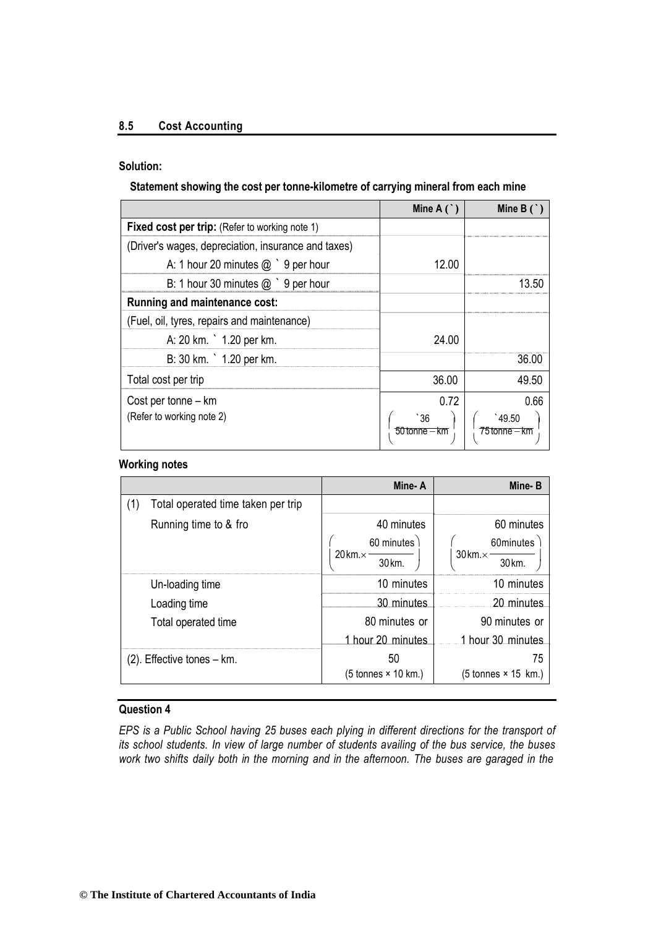#### **8.5 Cost Accounting**

#### **Solution:**

#### **Statement showing the cost per tonne-kilometre of carrying mineral from each mine**

|                                                       | Mine $A($ $)$       | Mine $B($              |
|-------------------------------------------------------|---------------------|------------------------|
| <b>Fixed cost per trip:</b> (Refer to working note 1) |                     |                        |
| (Driver's wages, depreciation, insurance and taxes)   |                     |                        |
| A: 1 hour 20 minutes $@$ $9$ per hour                 | 12.00               |                        |
| B: 1 hour 30 minutes $@$ $9$ per hour                 |                     | 13.50                  |
| Running and maintenance cost:                         |                     |                        |
| (Fuel, oil, tyres, repairs and maintenance)           |                     |                        |
| A: 20 km. ` 1.20 per km.                              | 24.00               |                        |
| B: 30 km. ` 1.20 per km.                              |                     | 36.00                  |
| Total cost per trip                                   | 36.00               | 49.50                  |
| Cost per tonne – km                                   | 0.72                | 0.66                   |
| (Refer to working note 2)                             | 36<br>50 tonne – km | 49.50<br>75 tonne – km |

#### **Working notes**

|                                           | Mine-A                                     | Mine-B                                     |
|-------------------------------------------|--------------------------------------------|--------------------------------------------|
| (1)<br>Total operated time taken per trip |                                            |                                            |
| Running time to & fro                     | 40 minutes                                 | 60 minutes                                 |
|                                           | 60 minutes                                 | 60minutes                                  |
|                                           | $20 \,\mathrm{km} \times$<br>30 km.        | $30 \,\mathrm{km} \times$<br>30 km.        |
| Un-loading time                           | 10 minutes                                 | 10 minutes                                 |
| Loading time                              | 30 minutes                                 | 20 minutes                                 |
| Total operated time                       | 80 minutes or                              | 90 minutes or                              |
|                                           | 1 hour 20 minutes                          | 1 hour 30 minutes                          |
| (2). Effective tones – km.                | 50                                         | 75                                         |
|                                           | $(5 \text{ tonnes} \times 10 \text{ km.})$ | $(5 \text{ tonnes} \times 15 \text{ km.})$ |

#### **Question 4**

*EPS is a Public School having 25 buses each plying in different directions for the transport of its school students. In view of large number of students availing of the bus service, the buses work two shifts daily both in the morning and in the afternoon. The buses are garaged in the*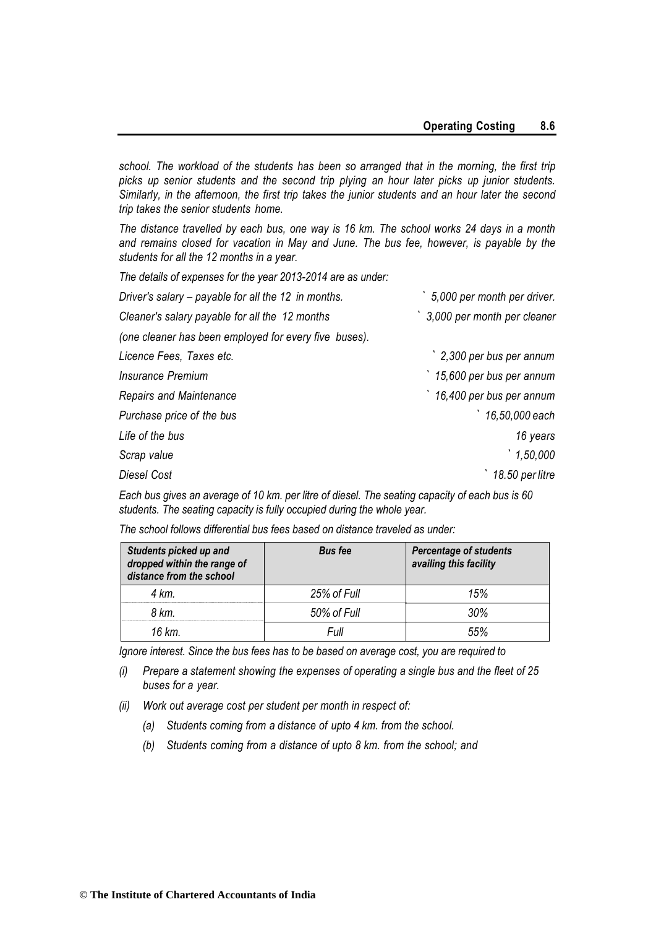*school. The workload of the students has been so arranged that in the morning, the first trip picks up senior students and the second trip plying an hour later picks up junior students. Similarly, in the afternoon, the first trip takes the junior students and an hour later the second trip takes the senior students home.*

*The distance travelled by each bus, one way is 16 km. The school works 24 days in a month and remains closed for vacation in May and June. The bus fee, however, is payable by the students for all the 12 months in a year.*

*The details of expenses for the year 2013-2014 are as under:*

| 5,000 per month per driver. |
|-----------------------------|
| 3,000 per month per cleaner |
|                             |
| 2,300 per bus per annum     |
| 15,600 per bus per annum    |
| 16,400 per bus per annum    |
| 16,50,000 each              |
| 16 years                    |
| 1,50,000                    |
| 18.50 per litre             |
|                             |

*Each bus gives an average of 10 km. per litre of diesel. The seating capacity of each bus is 60 students. The seating capacity is fully occupied during the whole year.*

*The school follows differential bus fees based on distance traveled as under:*

| Students picked up and<br>dropped within the range of<br>distance from the school | <b>Bus fee</b> | <b>Percentage of students</b><br>availing this facility |
|-----------------------------------------------------------------------------------|----------------|---------------------------------------------------------|
| 4 km.                                                                             | 25% of Full    | 15%                                                     |
| 8 km.                                                                             | 50% of Full    | 30%                                                     |
| 16 km.                                                                            | Full           | 55%                                                     |

*Ignore interest. Since the bus fees has to be based on average cost, you are required to*

- *(i) Prepare a statement showing the expenses of operating a single bus and the fleet of 25 buses for a year.*
- *(ii) Work out average cost per student per month in respect of:*
	- *(a) Students coming from a distance of upto 4 km. from the school.*
	- *(b) Students coming from a distance of upto 8 km. from the school; and*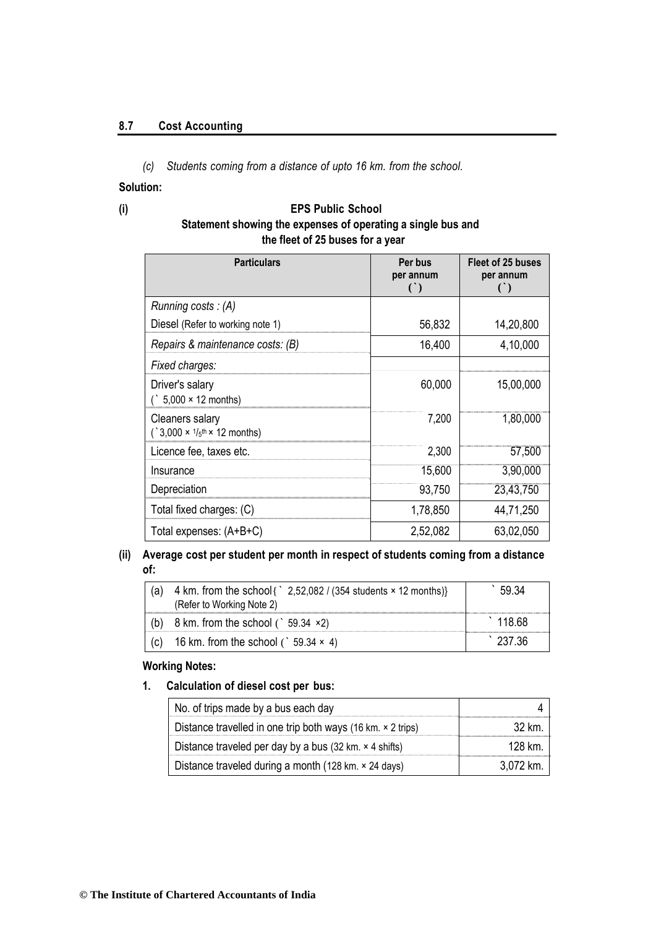#### **8.7 Cost Accounting**

*(c) Students coming from a distance of upto 16 km. from the school.*

#### **Solution:**

#### **(i) EPS Public School Statement showing the expenses of operating a single bus and the fleet of 25 buses for a year**

| <b>Particulars</b>                                                                        | Per bus<br>per annum<br>$\left( \begin{array}{c} \cdot \\ \cdot \end{array} \right)$ | Fleet of 25 buses<br>per annum<br>$\cap$ |
|-------------------------------------------------------------------------------------------|--------------------------------------------------------------------------------------|------------------------------------------|
| Running costs: $(A)$                                                                      |                                                                                      |                                          |
| Diesel (Refer to working note 1)                                                          | 56,832                                                                               | 14,20,800                                |
| Repairs & maintenance costs: (B)                                                          | 16,400                                                                               | 4,10,000                                 |
| Fixed charges:                                                                            |                                                                                      |                                          |
| Driver's salary<br>$\binom{1}{5}$ ,000 × 12 months)                                       | 60,000                                                                               | 15,00,000                                |
| Cleaners salary<br>$($ , 3,000 $\times$ 1/ <sub>5</sub> <sup>th</sup> $\times$ 12 months) | 7,200                                                                                | 1,80,000                                 |
| Licence fee, taxes etc.                                                                   | 2,300                                                                                | 57,500                                   |
| Insurance                                                                                 | 15,600                                                                               | 3,90,000                                 |
| Depreciation                                                                              | 93,750                                                                               | 23,43,750                                |
| Total fixed charges: (C)                                                                  | 1,78,850                                                                             | 44,71,250                                |
| Total expenses: (A+B+C)                                                                   | 2,52,082                                                                             | 63,02,050                                |

#### **(ii) Average cost per student per month in respect of students coming from a distance of:**

| (a) | 4 km. from the school { $\degree$ 2,52,082 / (354 students $\times$ 12 months)}<br>(Refer to Working Note 2) | 59.34  |
|-----|--------------------------------------------------------------------------------------------------------------|--------|
| (b) | 8 km. from the school $($ 59.34 $\times$ 2)                                                                  | 118.68 |
| (c) | 16 km. from the school ( $\degree$ 59.34 $\times$ 4)                                                         | 237.36 |

#### **Working Notes:**

**1. Calculation of diesel cost per bus:**

| No. of trips made by a bus each day                                           |           |
|-------------------------------------------------------------------------------|-----------|
| Distance travelled in one trip both ways (16 km. $\times$ 2 trips)            | 32 km     |
| Distance traveled per day by a bus $(32 \text{ km.} \times 4 \text{ shifts})$ | 128 km.   |
| Distance traveled during a month (128 km. × 24 days)                          | 3.072 km. |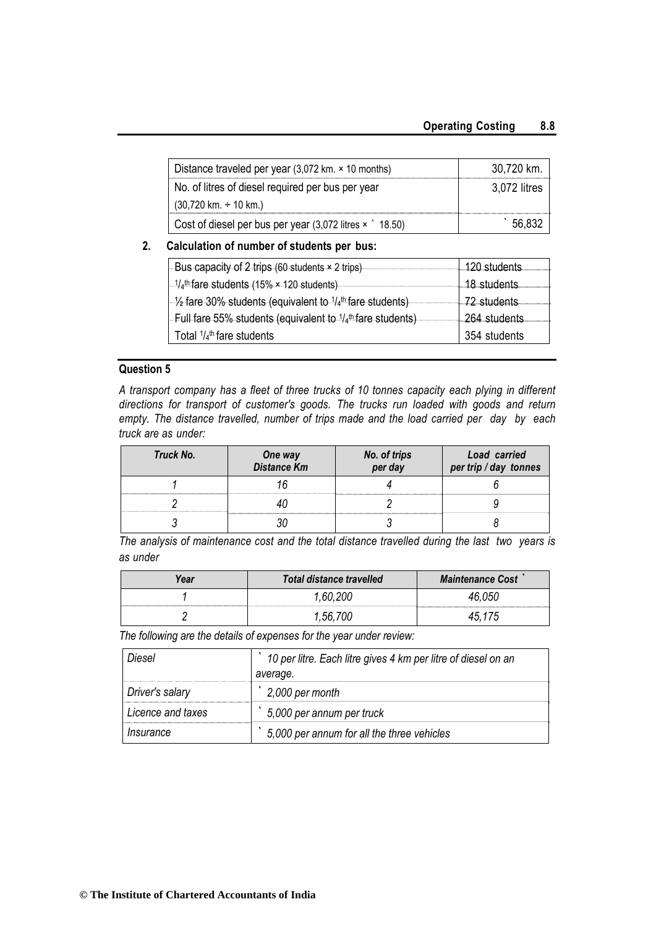| Distance traveled per year $(3,072 \text{ km.} \times 10 \text{ months})$ | 30,720 km.   |
|---------------------------------------------------------------------------|--------------|
| No. of litres of diesel required per bus per year                         | 3,072 litres |
| $(30,720 \text{ km.} \div 10 \text{ km.})$                                |              |
| Cost of diesel per bus per year $(3,072)$ litres $\times$ 18.50)          | 56.832       |

#### **2. Calculation of number of students per bus:**

| -Bus capacity of 2 trips (60 students $\times$ 2 trips)                        | 120 students   |
|--------------------------------------------------------------------------------|----------------|
| $1/4$ <sup>th</sup> fare students (15% × 120 students)                         | 18-students    |
| $\frac{1}{2}$ fare 30% students (equivalent to $\frac{1}{4}$ th fare students) | $-72$ students |
| Full fare 55% students (equivalent to $1/4$ <sup>th</sup> fare students)       | 264 students   |
| Total $1/4$ <sup>th</sup> fare students                                        | 354 students   |

#### **Question 5**

*A transport company has a fleet of three trucks of 10 tonnes capacity each plying in different directions for transport of customer's goods. The trucks run loaded with goods and return empty. The distance travelled, number of trips made and the load carried per day by each truck are as under:*

| Truck No. | One way<br>Distance Km | No. of trips<br>per day | Load carried<br>per trip / day tonnes |
|-----------|------------------------|-------------------------|---------------------------------------|
|           |                        |                         |                                       |
|           |                        |                         |                                       |
|           |                        |                         |                                       |

*The analysis of maintenance cost and the total distance travelled during the last two years is as under*

| Year | <b>Total distance travelled</b> | <b>Maintenance Cost</b> |
|------|---------------------------------|-------------------------|
|      |                                 |                         |
|      |                                 |                         |

*The following are the details of expenses for the year under review:*

| Diesel            | 10 per litre. Each litre gives 4 km per litre of diesel on an |  |
|-------------------|---------------------------------------------------------------|--|
|                   | average.                                                      |  |
| Driver's salary   | 2,000 per month                                               |  |
| Licence and taxes | 5,000 per annum per truck                                     |  |
| Insurance         | 5,000 per annum for all the three vehicles                    |  |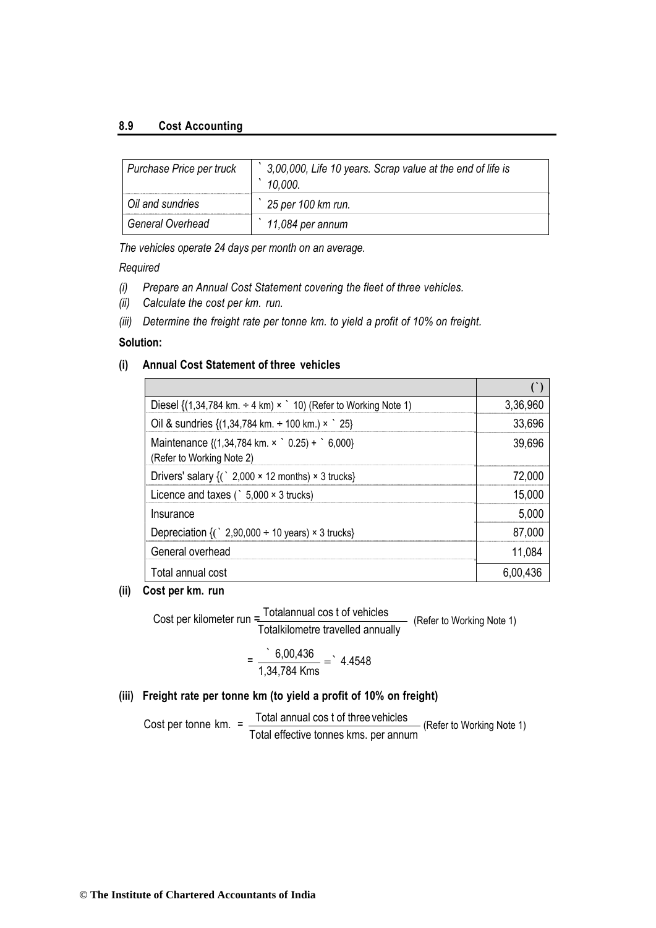#### **8.9 Cost Accounting**

| Purchase Price per truck | 3,00,000, Life 10 years. Scrap value at the end of life is<br>10,000. |
|--------------------------|-----------------------------------------------------------------------|
| Oil and sundries         | 25 per 100 km run.                                                    |
| General Overhead         | 11,084 per annum                                                      |

*The vehicles operate 24 days per month on an average.*

#### *Required*

- *(i) Prepare an Annual Cost Statement covering the fleet of three vehicles.*
- *(ii) Calculate the cost per km. run.*
- *(iii) Determine the freight rate per tonne km. to yield a profit of 10% on freight.*

#### **Solution:**

#### **(i) Annual Cost Statement of three vehicles**

| Diesel $\{(1,34,784 \text{ km.} \div 4 \text{ km}) \times$ 10) (Refer to Working Note 1)              | 3,36,960 |
|-------------------------------------------------------------------------------------------------------|----------|
| Oil & sundries $\{(1,34,784 \text{ km.} \div 100 \text{ km.}) \times$ 25}                             | 33,696   |
| Maintenance $\{(1,34,784 \text{ km. x}^{\circ} 0.25) + ^{\circ} 6,000\}$<br>(Refer to Working Note 2) | 39,696   |
| Drivers' salary $\{(\cdot\ 2,000 \times 12 \text{ months}) \times 3 \text{ trucks}\}\$                | 72.000   |
| Licence and taxes ( $\degree$ 5,000 $\times$ 3 trucks)                                                | 15,000   |
| Insurance                                                                                             | 5,000    |
| Depreciation $\{(\cdot\ 2,90,000 \div 10 \text{ years}) \times 3 \text{ trucks}\}\$                   | 87,000   |
| General overhead                                                                                      | 11,084   |
| Total annual cost                                                                                     | 6.00.436 |

#### **(ii) Cost per km. run**

Cost per kilometer run = Totalannual cos t of vehicles Totalkilometre travelled annually (Refer to Working Note 1)

$$
= \frac{6,00,436}{1,34,784 \text{ Kms}} = 4.4548
$$

#### **(iii) Freight rate per tonne km (to yield a profit of 10% on freight)**

Cost per tonne km.  $=$   $\frac{\text{Total annual cost of three vehicles}}{\text{Total annual cost of the original.}}$ **Total effective tonnes kms. per annum** (Refer to Working Note 1)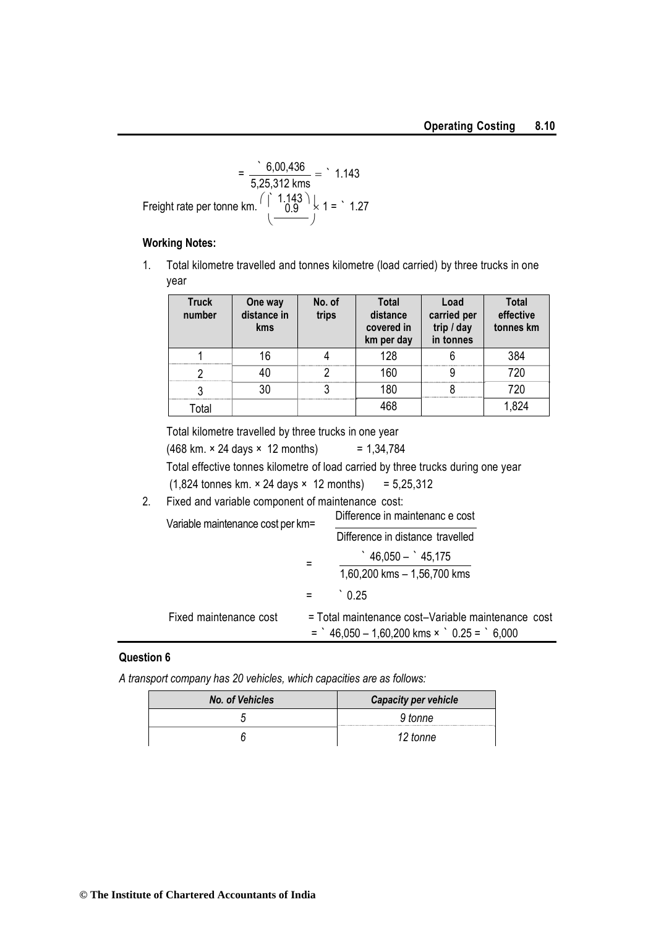$$
= \frac{6,00,436}{5,25,312 \text{ kms}} = 1.143
$$
  
Freight rate per tonne km.  $\left(\frac{1,143}{0.9}\right) \times 1 = 1.27$   
 $\left(\frac{-0.9}{0.9}\right) \times 1 = 1.27$ 

#### **Working Notes:**

1. Total kilometre travelled and tonnes kilometre (load carried) by three trucks in one year

| <b>Truck</b><br>number | One way<br>distance in<br><b>kms</b> | No. of<br>trips | <b>Total</b><br>distance<br>covered in<br>km per day | Load<br>carried per<br>trip / day<br>in tonnes | <b>Total</b><br>effective<br>tonnes km |
|------------------------|--------------------------------------|-----------------|------------------------------------------------------|------------------------------------------------|----------------------------------------|
|                        |                                      |                 | 128                                                  |                                                | 384                                    |
|                        |                                      |                 | 160                                                  |                                                | 720                                    |
|                        | 30                                   |                 | 180                                                  |                                                | 720                                    |
| Гоtаl                  |                                      |                 | 468                                                  |                                                |                                        |

Total kilometre travelled by three trucks in one year

 $(468 \text{ km.} \times 24 \text{ days} \times 12 \text{ months})$  = 1,34,784 Total effective tonnes kilometre of load carried by three trucks during one year (1,824 tonnes km. × 24 days × 12 months) *=* 5,25,312

2. Fixed and variable component of maintenance cost:

| Variable maintenance cost per km= |   | Difference in maintenanc e cost                                                                             |
|-----------------------------------|---|-------------------------------------------------------------------------------------------------------------|
|                                   |   | Difference in distance travelled                                                                            |
|                                   |   | $46.050 - 45.175$                                                                                           |
|                                   |   | 1,60,200 kms - 1,56,700 kms                                                                                 |
|                                   | = |                                                                                                             |
| Fixed maintenance cost            |   | = Total maintenance cost-Variable maintenance cost<br>$=$ $46,050 - 1,60,200$ kms $\times$ $0.25 =$ $6,000$ |

#### **Question 6**

*A transport company has 20 vehicles, which capacities are as follows:*

| No. of Vehicles | <b>Capacity per vehicle</b> |
|-----------------|-----------------------------|
|                 | 9 tonne                     |
|                 | 12 tonne                    |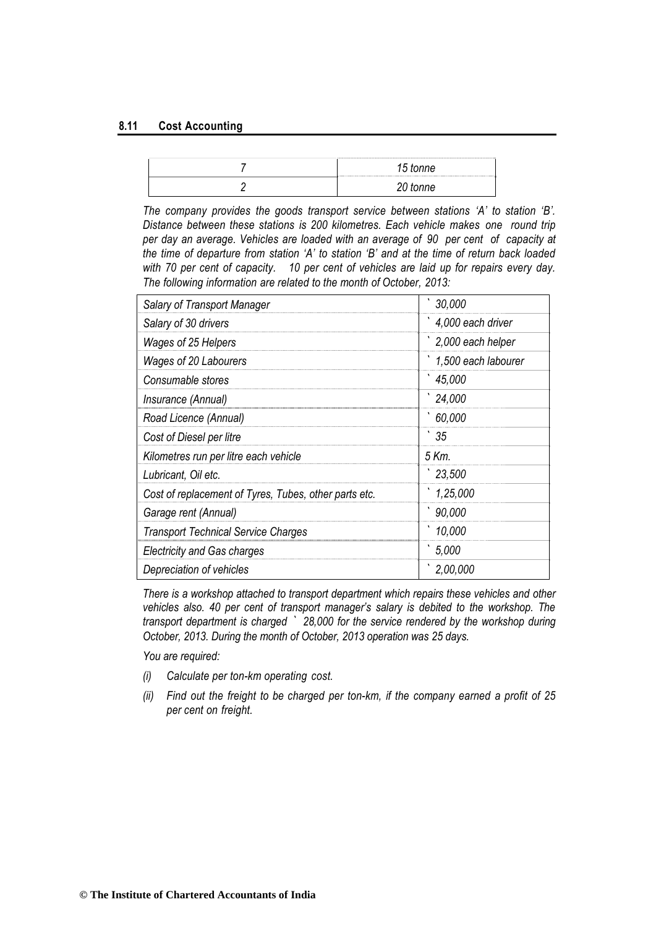#### **8.11 Cost Accounting**

| tonne<br>h<br><b><i><u><u>.</u></u></i></b> |  |
|---------------------------------------------|--|
| 20 tonne                                    |  |

*The company provides the goods transport service between stations 'A' to station 'B'. Distance between these stations is 200 kilometres. Each vehicle makes one round trip per day an average. Vehicles are loaded with an average of 90 per cent of capacity at the time of departure from station 'A' to station 'B' and at the time of return back loaded with 70 per cent of capacity. 10 per cent of vehicles are laid up for repairs every day. The following information are related to the month of October, 2013:*

| Salary of Transport Manager                           | 30,000              |
|-------------------------------------------------------|---------------------|
| Salary of 30 drivers                                  | 4,000 each driver   |
| Wages of 25 Helpers                                   | 2,000 each helper   |
| Wages of 20 Labourers                                 | 1,500 each labourer |
| Consumable stores                                     | 45,000              |
| Insurance (Annual)                                    | 24,000              |
| Road Licence (Annual)                                 | 60,000              |
| Cost of Diesel per litre                              | 35                  |
| Kilometres run per litre each vehicle                 | 5 Km.               |
| Lubricant, Oil etc.                                   | 23,500              |
| Cost of replacement of Tyres, Tubes, other parts etc. | 1,25,000            |
| Garage rent (Annual)                                  | 90,000              |
| <b>Transport Technical Service Charges</b>            | 10,000              |
| <b>Electricity and Gas charges</b>                    | 5.000               |
| Depreciation of vehicles                              | 2,00,000            |

*There is a workshop attached to transport department which repairs these vehicles and other vehicles also. 40 per cent of transport manager's salary is debited to the workshop. The transport department is charged ` 28,000 for the service rendered by the workshop during October, 2013. During the month of October, 2013 operation was 25 days.*

*You are required:*

- *(i) Calculate per ton-km operating cost.*
- *(ii) Find out the freight to be charged per ton-km, if the company earned a profit of 25 per cent on freight.*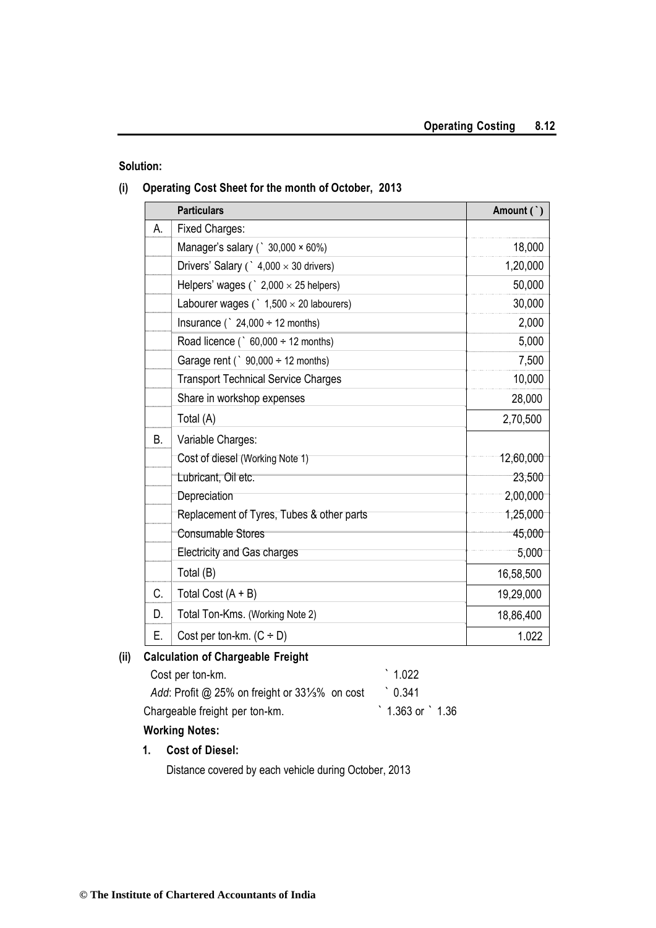#### **Solution:**

#### **(i) Operating Cost Sheet for the month of October, 2013**

|           | <b>Particulars</b>                                | Amount (`) |
|-----------|---------------------------------------------------|------------|
| А.        | <b>Fixed Charges:</b>                             |            |
|           | Manager's salary ( $\degree$ 30,000 $\times$ 60%) | 18,000     |
|           | Drivers' Salary (` $4,000 \times 30$ drivers)     | 1,20,000   |
|           | Helpers' wages $($ $2,000 \times 25$ helpers)     | 50,000     |
|           | Labourer wages $($ $1,500 \times 20$ labourers)   | 30,000     |
|           | Insurance ( $\degree$ 24,000 $\div$ 12 months)    | 2,000      |
|           | Road licence ( $\degree$ 60,000 ÷ 12 months)      | 5,000      |
|           | Garage rent ( $\degree$ 90,000 $\div$ 12 months)  | 7,500      |
|           | <b>Transport Technical Service Charges</b>        | 10,000     |
|           | Share in workshop expenses                        | 28,000     |
|           | Total (A)                                         | 2,70,500   |
| <b>B.</b> | Variable Charges:                                 |            |
|           | Cost of diesel (Working Note 1)                   | 12,60,000  |
|           | Lubricant, Oil etc.                               | 23,500     |
|           | Depreciation                                      | 2,00,000   |
|           | Replacement of Tyres, Tubes & other parts         | 1,25,000   |
|           | <b>Consumable Stores</b>                          | 45,000     |
|           | <b>Electricity and Gas charges</b>                | 5,000      |
|           | Total (B)                                         | 16,58,500  |
| C.        | Total Cost $(A + B)$                              | 19,29,000  |
| D.        | Total Ton-Kms. (Working Note 2)                   | 18,86,400  |
| Ε.        | Cost per ton-km. $(C \div D)$                     | 1.022      |

#### **(ii) Calculation of Chargeable Freight**

| Cost per ton-km.                                          | $\degree$ 1.022           |
|-----------------------------------------------------------|---------------------------|
| Add: Profit @ 25% on freight or $33\frac{1}{3}\%$ on cost | $^{\circ}$ 0.341          |
| Chargeable freight per ton-km.                            | $1.363$ or $\degree$ 1.36 |

### **Working Notes:**

#### **1. Cost of Diesel:**

Distance covered by each vehicle during October, 2013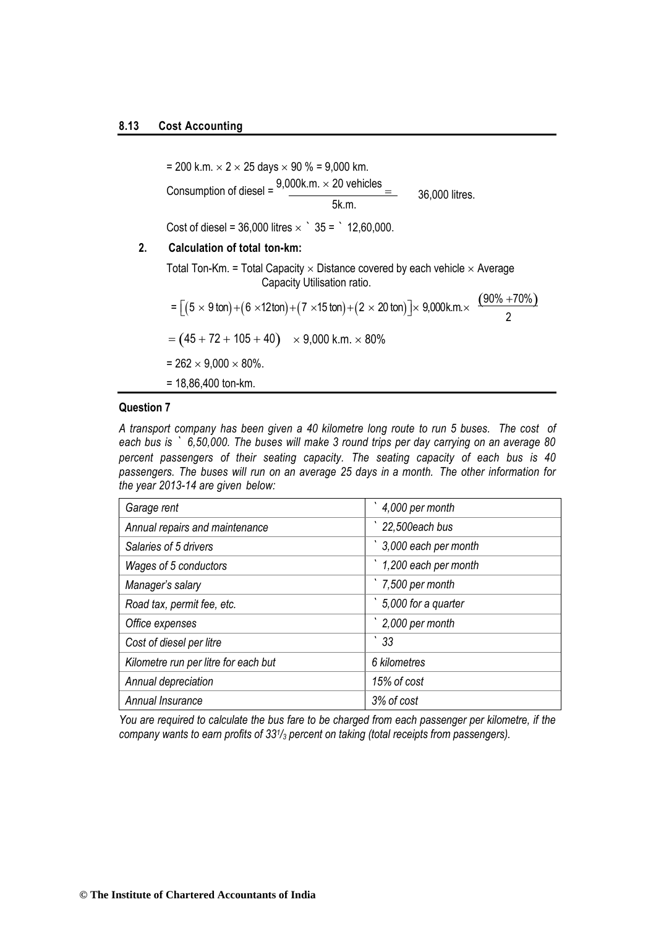#### **8.13 Cost Accounting**

= 200 k.m.  $\times$  2  $\times$  25 days  $\times$  90 % = 9,000 km. Consumption of diesel =  $\frac{9,000$ k.m.  $\times$  20 vehicles  $=$ 5k.m. Cost of diesel = 36,000 litres  $\times$   $35 =$   $12,60,000$ . 36,000 litres.

### **2. Calculation of total ton-km:**

Total Ton-Km. = Total Capacity  $\times$  Distance covered by each vehicle  $\times$  Average Capacity Utilisation ratio.

$$
= [(5 \times 9 \text{ ton}) + (6 \times 12 \text{ ton}) + (7 \times 15 \text{ ton}) + (2 \times 20 \text{ ton})] \times 9,000 \text{ k.m.} \times \frac{(90\% + 70\%)}{2}
$$
  
= (45 + 72 + 105 + 40) \times 9,000 \text{ k.m.} \times 80\%  
= 262 \times 9,000 \times 80\%.  
= 18,86,400 \text{ ton-km.}

#### **Question 7**

*A transport company has been given a 40 kilometre long route to run 5 buses. The cost of each bus is ` 6,50,000. The buses will make 3 round trips per day carrying on an average 80 percent passengers of their seating capacity. The seating capacity of each bus is 40 passengers. The buses will run on an average 25 days in a month. The other information for the year 2013-14 are given below:*

| Garage rent                          | 4,000 per month      |
|--------------------------------------|----------------------|
| Annual repairs and maintenance       | 22,500each bus       |
| Salaries of 5 drivers                | 3,000 each per month |
| Wages of 5 conductors                | 1,200 each per month |
| Manager's salary                     | 7,500 per month      |
| Road tax, permit fee, etc.           | 5,000 for a quarter  |
| Office expenses                      | 2,000 per month      |
| Cost of diesel per litre             | 33                   |
| Kilometre run per litre for each but | 6 kilometres         |
| Annual depreciation                  | 15% of cost          |
| Annual Insurance                     | 3% of cost           |

*You are required to calculate the bus fare to be charged from each passenger per kilometre, if the company wants to earn profits of 33<sup>1</sup> /<sup>3</sup> percent on taking (total receipts from passengers).*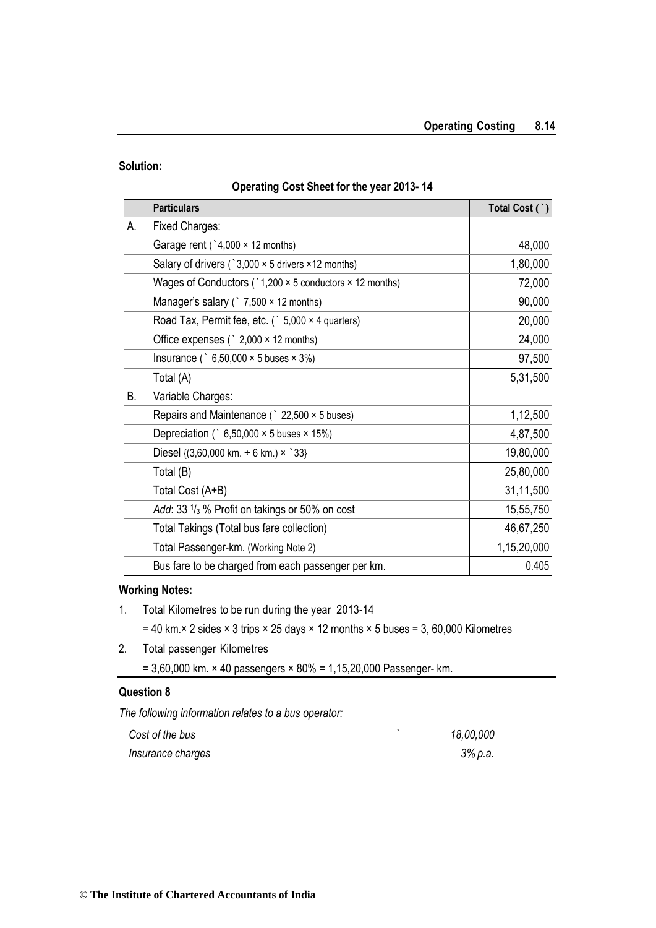#### **Solution:**

#### **Operating Cost Sheet for the year 2013- 14**

|    | <b>Particulars</b>                                                | Total Cost (`) |
|----|-------------------------------------------------------------------|----------------|
| А. | <b>Fixed Charges:</b>                                             |                |
|    | Garage rent ( $3,000 \times 12$ months)                           | 48,000         |
|    | Salary of drivers (`3,000 × 5 drivers ×12 months)                 | 1,80,000       |
|    | Wages of Conductors ( $\degree$ 1,200 × 5 conductors × 12 months) | 72,000         |
|    | Manager's salary $($ $\degree$ 7,500 $\times$ 12 months)          | 90,000         |
|    | Road Tax, Permit fee, etc. (`5,000 × 4 quarters)                  | 20,000         |
|    | Office expenses ( $\degree$ 2,000 $\times$ 12 months)             | 24,000         |
|    | Insurance ( $6,50,000 \times 5$ buses $\times 3\%)$               | 97,500         |
|    | Total (A)                                                         | 5,31,500       |
| В. | Variable Charges:                                                 |                |
|    | Repairs and Maintenance ( 22,500 × 5 buses)                       | 1,12,500       |
|    | Depreciation ( $6,50,000 \times 5$ buses $\times$ 15%)            | 4,87,500       |
|    | Diesel { $(3,60,000$ km. $\div$ 6 km.) × `33}                     | 19,80,000      |
|    | Total (B)                                                         | 25,80,000      |
|    | Total Cost (A+B)                                                  | 31,11,500      |
|    | Add: 33 1/3 % Profit on takings or 50% on cost                    | 15,55,750      |
|    | Total Takings (Total bus fare collection)                         | 46,67,250      |
|    | Total Passenger-km. (Working Note 2)                              | 1,15,20,000    |
|    | Bus fare to be charged from each passenger per km.                | 0.405          |

#### **Working Notes:**

- 1. Total Kilometres to be run during the year 2013-14
	- $= 40$  km. $\times$  2 sides  $\times$  3 trips  $\times$  25 days  $\times$  12 months  $\times$  5 buses = 3, 60,000 Kilometres
- 2. Total passenger Kilometres
	- $= 3,60,000$  km.  $\times$  40 passengers  $\times$  80% = 1,15,20,000 Passenger- km.

#### **Question 8**

*The following information relates to a bus operator:*

| Cost of the bus   | 18,00,000 |
|-------------------|-----------|
| Insurance charges | 3% p.a.   |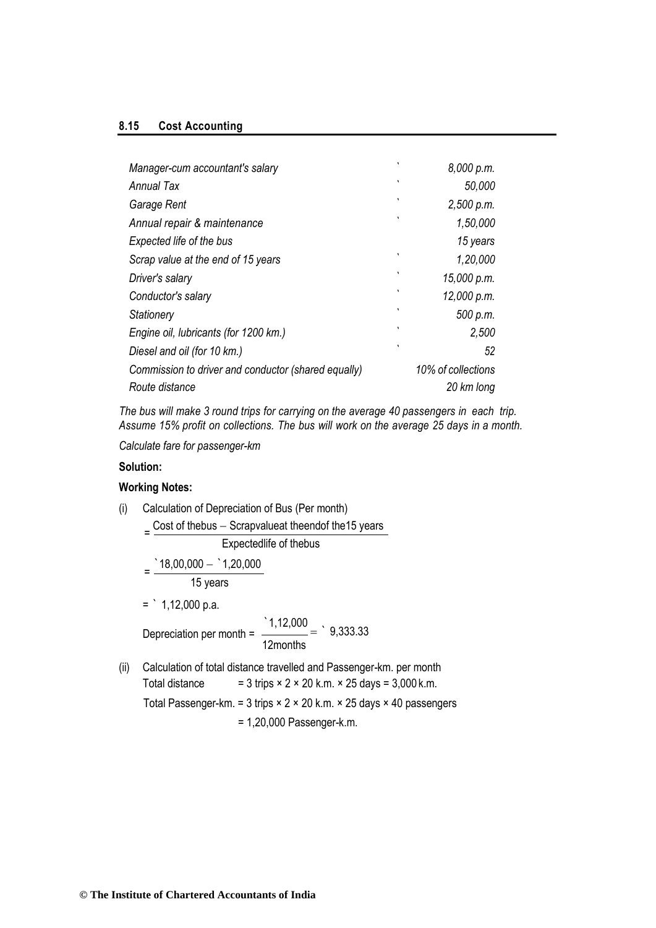#### **8.15 Cost Accounting**

| Manager-cum accountant's salary                     | ٠ | 8,000 p.m.         |
|-----------------------------------------------------|---|--------------------|
| Annual Tax                                          | ٠ | 50,000             |
| Garage Rent                                         | ٦ | 2,500 p.m.         |
| Annual repair & maintenance                         | ٠ | 1,50,000           |
| Expected life of the bus                            |   | 15 years           |
| Scrap value at the end of 15 years                  | ٦ | 1,20,000           |
| Driver's salary                                     | ٠ | 15,000 p.m.        |
| Conductor's salary                                  | ۰ | 12,000 p.m.        |
| Stationery                                          | ٦ | 500 p.m.           |
| Engine oil, lubricants (for 1200 km.)               | ٠ | 2,500              |
| Diesel and oil (for 10 km.)                         | ٠ | 52                 |
| Commission to driver and conductor (shared equally) |   | 10% of collections |
| Route distance                                      |   | 20 km long         |

*The bus will make 3 round trips for carrying on the average 40 passengers in each trip. Assume 15% profit on collections. The bus will work on the average 25 days in a month.*

*Calculate fare for passenger-km*

#### **Solution:**

#### **Working Notes:**

(i) Calculation of Depreciation of Bus (Per month)  $=\frac{\text{Cost of thebus} - \text{Scrapvalueat theendor the15 years}}{5.5}$ Expectedlife of thebus  $=\frac{18,00,000 - 1,20,000}{5}$ 15 years  $=$  1,12,000 p.a. Depreciation per month =  $\frac{1,12,000}{1,12,000} = 9,333.33$ 12months (ii) Calculation of total distance travelled and Passenger-km. per month Total distance  $= 3 \text{ trips} \times 2 \times 20 \text{ k.m.} \times 25 \text{ days} = 3,000 \text{ k.m.}$ Total Passenger-km. = 3 trips × 2 × 20 k.m. × 25 days × 40 passengers = 1,20,000 Passenger-k.m.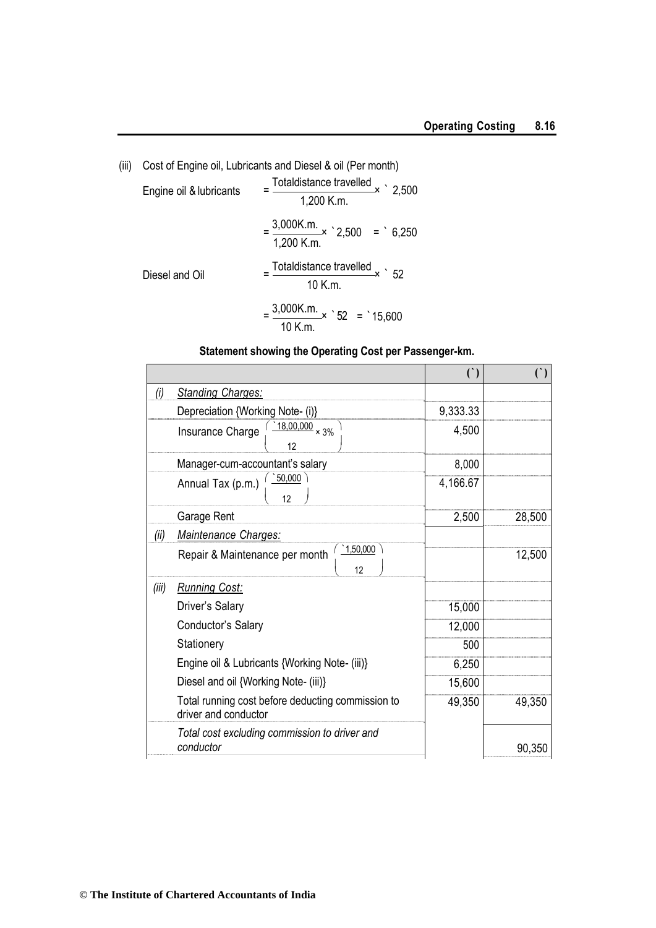| (iii) | Cost of Engine oil, Lubricants and Diesel & oil (Per month) |                                                               |  |
|-------|-------------------------------------------------------------|---------------------------------------------------------------|--|
|       | Engine oil & lubricants                                     | $=\frac{\text{Totaldistance travelled}}{2,500}$<br>1,200 K.m. |  |
|       |                                                             | $=\frac{3,000 \text{K.m.}}{2,500}$ = 6,250<br>1,200 K.m.      |  |
|       | Diesel and Oil                                              | $=$ Totaldistance travelled $\times$ 52<br>10 K.m.            |  |
|       |                                                             | $=\frac{3,000 \text{K.m.}}{52} \times 52 = 15,600$<br>10 K.m. |  |

## **Statement showing the Operating Cost per Passenger-km.**

|       |                                                                           | $($ )    | $($ )  |
|-------|---------------------------------------------------------------------------|----------|--------|
| (i)   | <b>Standing Charges:</b>                                                  |          |        |
|       | Depreciation {Working Note- (i)}                                          | 9,333.33 |        |
|       | $^{18,00,000}$ × 3%<br>Insurance Charge<br>12                             | 4,500    |        |
|       | Manager-cum-accountant's salary                                           | 8,000    |        |
|       | 50,000<br>Annual Tax (p.m.)<br>12                                         | 4,166.67 |        |
|       | Garage Rent                                                               | 2,500    | 28,500 |
| (ii)  | Maintenance Charges:                                                      |          |        |
|       | 1,50,000<br>Repair & Maintenance per month<br>12                          |          | 12,500 |
| (iii) | <b>Running Cost:</b>                                                      |          |        |
|       | Driver's Salary                                                           | 15,000   |        |
|       | Conductor's Salary                                                        | 12,000   |        |
|       | Stationery                                                                | 500      |        |
|       | Engine oil & Lubricants {Working Note- (iii)}                             | 6,250    |        |
|       | Diesel and oil {Working Note- (iii)}                                      | 15,600   |        |
|       | Total running cost before deducting commission to<br>driver and conductor | 49,350   | 49,350 |
|       | Total cost excluding commission to driver and<br>conductor                |          | 90,350 |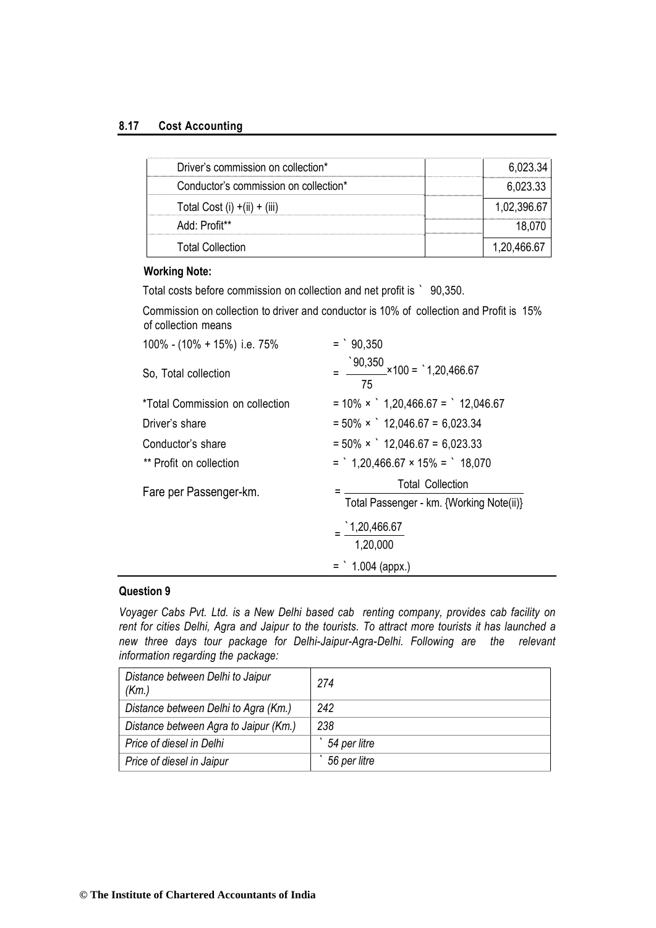#### **8.17 Cost Accounting**

| Driver's commission on collection*    | 6,023.34    |
|---------------------------------------|-------------|
| Conductor's commission on collection* | 6.023.33    |
| Total Cost (i) $+(ii) + (iii)$        | 1,02,396.67 |
| Add: Profit**                         |             |
| <b>Total Collection</b>               | 1.20.466.67 |

#### **Working Note:**

Total costs before commission on collection and net profit is ` 90,350.

Commission on collection to driver and conductor is 10% of collection and Profit is 15% of collection means

| 100% - (10% + 15%) i.e. 75%     | $=$ $90,350$                                                               |
|---------------------------------|----------------------------------------------------------------------------|
| So, Total collection            | $\textdegree$ 90,350<br>--- $\times$ 100 = $\textdegree$ 1,20,466.67<br>75 |
| *Total Commission on collection | $= 10\% \times$ 1,20,466.67 = 12,046.67                                    |
| Driver's share                  | $= 50\% \times$ 12,046.67 = 6,023.34                                       |
| Conductor's share               | $= 50\% \times$ 12,046.67 = 6,023.33                                       |
| ** Profit on collection         | $=$ 1,20,466.67 × 15% = 18,070                                             |
| Fare per Passenger-km.          | <b>Total Collection</b><br>Total Passenger - km. {Working Note(ii)}        |
|                                 | $-$ 1,20,466.67<br>1,20,000                                                |
|                                 | $=$ 1.004 (appx.)                                                          |

#### **Question 9**

*Voyager Cabs Pvt. Ltd. is a New Delhi based cab renting company, provides cab facility on rent for cities Delhi, Agra and Jaipur to the tourists. To attract more tourists it has launched a new three days tour package for Delhi-Jaipur-Agra-Delhi. Following are the relevant information regarding the package:*

| Distance between Delhi to Jaipur<br>(Km.) | 274          |
|-------------------------------------------|--------------|
| Distance between Delhi to Agra (Km.)      | 242          |
| Distance between Agra to Jaipur (Km.)     | 238          |
| Price of diesel in Delhi                  | 54 per litre |
| Price of diesel in Jaipur                 | 56 per litre |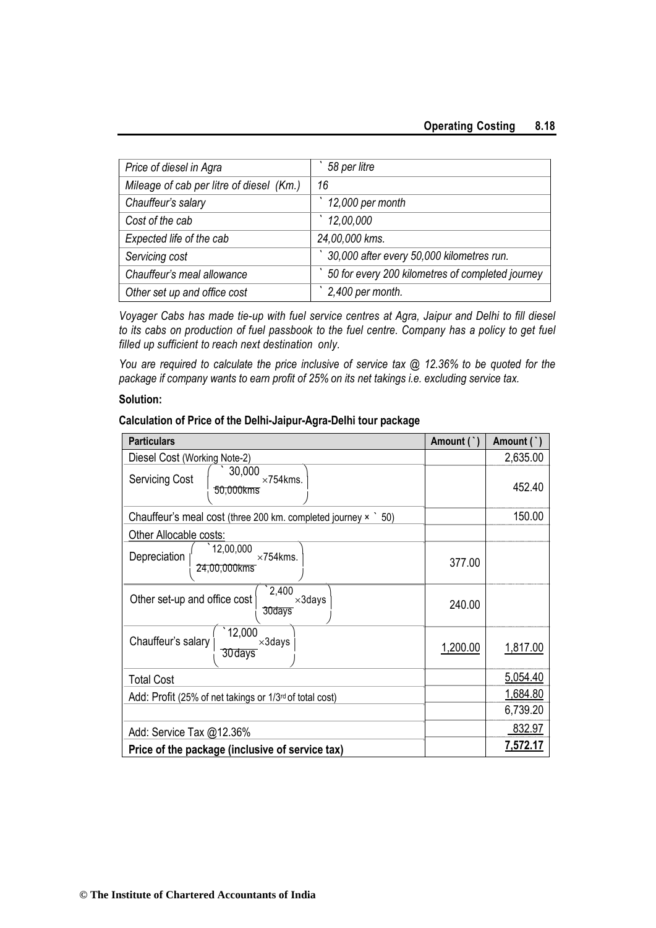| Price of diesel in Agra                  | 58 per litre                                     |
|------------------------------------------|--------------------------------------------------|
| Mileage of cab per litre of diesel (Km.) | 16                                               |
| Chauffeur's salary                       | 12,000 per month                                 |
| Cost of the cab                          | 12,00,000                                        |
| Expected life of the cab                 | 24,00,000 kms.                                   |
| Servicing cost                           | 30,000 after every 50,000 kilometres run.        |
| Chauffeur's meal allowance               | 50 for every 200 kilometres of completed journey |
| Other set up and office cost             | 2,400 per month.                                 |

*Voyager Cabs has made tie-up with fuel service centres at Agra, Jaipur and Delhi to fill diesel to its cabs on production of fuel passbook to the fuel centre. Company has a policy to get fuel filled up sufficient to reach next destination only.*

*You are required to calculate the price inclusive of service tax @ 12.36% to be quoted for the package if company wants to earn profit of 25% on its net takings i.e. excluding service tax.*

#### **Solution:**

#### **Calculation of Price of the Delhi-Jaipur-Agra-Delhi tour package**

| <b>Particulars</b>                                                  | Amount ( | Amount (`)      |
|---------------------------------------------------------------------|----------|-----------------|
| Diesel Cost (Working Note-2)                                        |          | 2,635.00        |
| 30,000<br><b>Servicing Cost</b><br>$\times$ 754 kms.<br>50,000kms   |          | 452.40          |
| Chauffeur's meal cost (three 200 km. completed journey $\times$ 50) |          | 150.00          |
| Other Allocable costs:                                              |          |                 |
| 12,00,000<br>Depreciation<br>$\times$ 754 kms.<br>24,00,000kms      | 377.00   |                 |
| 2,400<br>Other set-up and office cost<br>$\times$ 3days<br>30days   | 240.00   |                 |
| 12,000<br>Chauffeur's salary<br>$\times 3$ days<br>30 days          | 1,200.00 | 1,817.00        |
| <b>Total Cost</b>                                                   |          | 5,054.40        |
| Add: Profit (25% of net takings or 1/3 <sup>rd</sup> of total cost) |          | 1,684.80        |
|                                                                     |          | 6,739.20        |
| Add: Service Tax @12.36%                                            |          | 832.97          |
| Price of the package (inclusive of service tax)                     |          | <u>7,572.17</u> |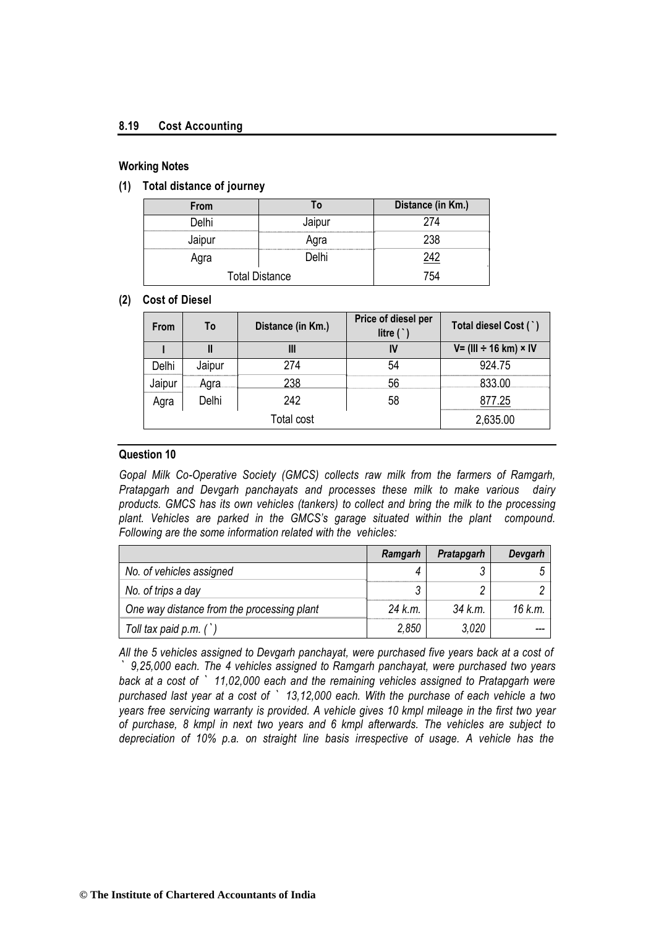#### **8.19 Cost Accounting**

#### **Working Notes**

**(1) Total distance of journey**

| From                  |        | Distance (in Km.) |
|-----------------------|--------|-------------------|
| Delhi                 | Jaipur | 274               |
| Jaipur                | Agra   | 238               |
| Agra                  | Delhi  | 242               |
| <b>Total Distance</b> |        | 754               |

#### **(2) Cost of Diesel**

| <b>From</b> | To     | Distance (in Km.) | Price of diesel per<br>litre $($ $)$ | Total diesel Cost (`)         |
|-------------|--------|-------------------|--------------------------------------|-------------------------------|
|             |        | Ш                 | IV                                   | $V = (III + 16 km) \times IV$ |
| Delhi       | Jaipur | 274               | 54                                   | 924 75                        |
| Jaipur      | Agra   | 238               | 56                                   | 833.00                        |
| Agra        | Delhi  | 242               | 58                                   | 877.25                        |
|             |        | <b>Total cost</b> |                                      | 2,635.00                      |

#### **Question 10**

*Gopal Milk Co-Operative Society (GMCS) collects raw milk from the farmers of Ramgarh, Pratapgarh and Devgarh panchayats and processes these milk to make various dairy products. GMCS has its own vehicles (tankers) to collect and bring the milk to the processing plant. Vehicles are parked in the GMCS's garage situated within the plant compound. Following are the some information related with the vehicles:*

|                                            | Ramgarh | <b>Pratapgarh</b> | Devgarh |
|--------------------------------------------|---------|-------------------|---------|
| No. of vehicles assigned                   |         |                   |         |
| No. of trips a day                         |         |                   |         |
| One way distance from the processing plant | 24 k.m. | 34 k.m.           | 16 k.m. |
| Toll tax paid $p.m.$ ( $)$                 | 2,850   | 3.020             |         |

*All the 5 vehicles assigned to Devgarh panchayat, were purchased five years back at a cost of ` 9,25,000 each. The 4 vehicles assigned to Ramgarh panchayat, were purchased two years back at a cost of ` 11,02,000 each and the remaining vehicles assigned to Pratapgarh were purchased last year at a cost of ` 13,12,000 each. With the purchase of each vehicle a two years free servicing warranty is provided. A vehicle gives 10 kmpl mileage in the first two year of purchase, 8 kmpl in next two years and 6 kmpl afterwards. The vehicles are subject to depreciation of 10% p.a. on straight line basis irrespective of usage. A vehicle has the*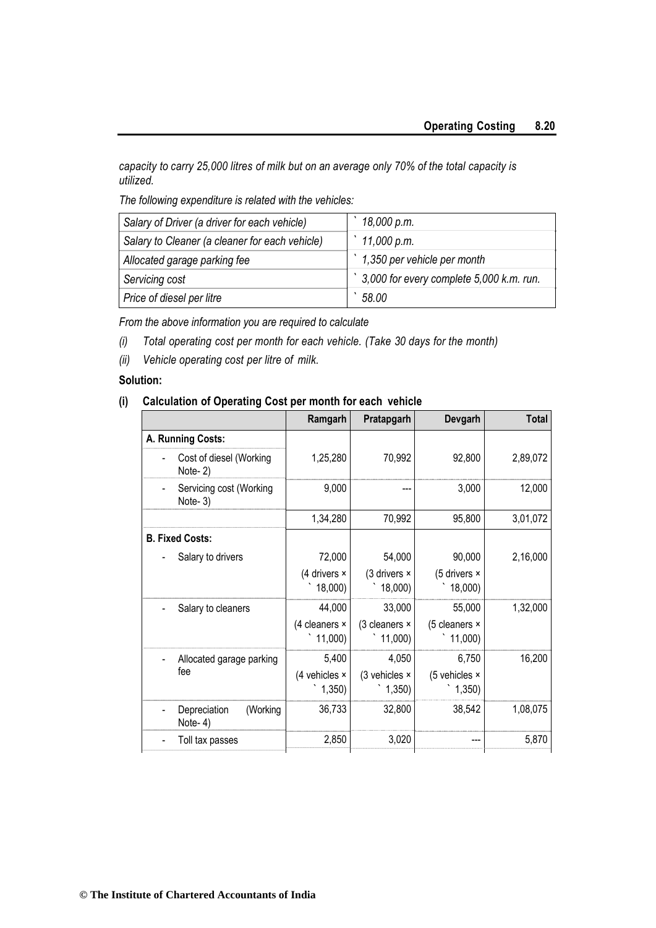*capacity to carry 25,000 litres of milk but on an average only 70% of the total capacity is utilized.*

*The following expenditure is related with the vehicles:*

| Salary of Driver (a driver for each vehicle)   | 18,000 p.m.                                        |
|------------------------------------------------|----------------------------------------------------|
| Salary to Cleaner (a cleaner for each vehicle) | 11,000 p.m.                                        |
| Allocated garage parking fee                   | 1,350 per vehicle per month                        |
| Servicing cost                                 | $\dot{ }$ 3,000 for every complete 5,000 k.m. run. |
| Price of diesel per litre                      | 58.00                                              |

*From the above information you are required to calculate*

- *(i) Total operating cost per month for each vehicle. (Take 30 days for the month)*
- *(ii) Vehicle operating cost per litre of milk.*

#### **Solution:**

#### **(i) Calculation of Operating Cost per month for each vehicle**

|                                     | Ramgarh                 | Pratapgarh              | Devgarh                  | <b>Total</b> |
|-------------------------------------|-------------------------|-------------------------|--------------------------|--------------|
| A. Running Costs:                   |                         |                         |                          |              |
| Cost of diesel (Working<br>Note-2)  | 1,25,280                | 70,992                  | 92,800                   | 2,89,072     |
| Servicing cost (Working<br>Note-3)  | 9,000                   |                         | 3,000                    | 12,000       |
|                                     | 1,34,280                | 70,992                  | 95,800                   | 3,01,072     |
| <b>B. Fixed Costs:</b>              |                         |                         |                          |              |
| Salary to drivers                   | 72,000                  | 54,000                  | 90,000                   | 2,16,000     |
|                                     | (4 drivers ×<br>18,000) | (3 drivers ×<br>18,000) | (5 drivers ×<br>18,000)  |              |
| Salary to cleaners                  | 44,000                  | 33,000                  | 55,000                   | 1,32,000     |
|                                     | (4 cleaners x<br>11,000 | (3 cleaners ×<br>11,000 | (5 cleaners ×<br>11,000) |              |
| Allocated garage parking            | 5,400                   | 4,050                   | 6,750                    | 16,200       |
| fee                                 | (4 vehicles ×<br>1,350) | (3 vehicles ×<br>1,350) | (5 vehicles ×<br>1,350)  |              |
| Depreciation<br>(Working<br>Note-4) | 36,733                  | 32,800                  | 38,542                   | 1,08,075     |
| Toll tax passes                     | 2,850                   | 3,020                   |                          | 5,870        |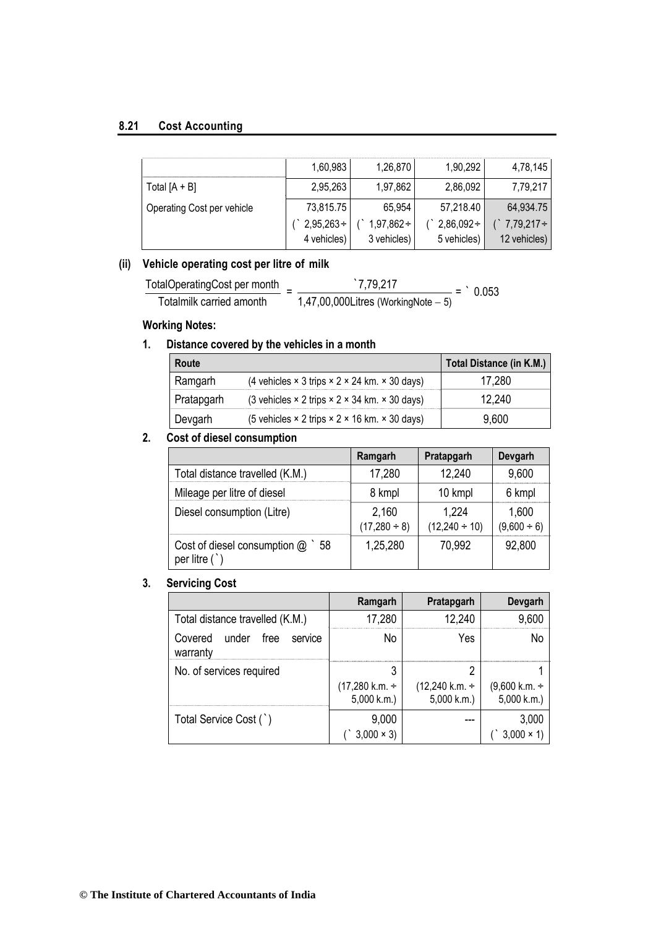#### **8.21 Cost Accounting**

|                            | 1,60,983        | 1,26,870        | 1,90,292        | 4,78,145        |
|----------------------------|-----------------|-----------------|-----------------|-----------------|
| Total $[A + B]$            | 2,95,263        | 1,97,862        | 2,86,092        | 7,79,217        |
| Operating Cost per vehicle | 73,815.75       | 65.954          | 57,218.40       | 64,934.75       |
|                            | $2,95,263 \div$ | $1,97,862 \div$ | $2,86,092 \div$ | $7,79,217 \div$ |
|                            | 4 vehicles)     | 3 vehicles)     | 5 vehicles)     | 12 vehicles)    |

#### **(ii) Vehicle operating cost per litre of milk**

TotalOperatingCost per month Totalmilk carried amonth  $=\frac{7,79,217}{1,17,00,000}$  $1,47,00,000$ Litres (WorkingNote  $-5$ )  $=$   $\degree$  0.053

#### **Working Notes:**

#### **1. Distance covered by the vehicles in a month**

| Route      |                                                                           | Total Distance (in K.M.) |
|------------|---------------------------------------------------------------------------|--------------------------|
| Ramgarh    | (4 vehicles $\times$ 3 trips $\times$ 2 $\times$ 24 km. $\times$ 30 days) | 280                      |
| Pratapgarh | (3 vehicles $\times$ 2 trips $\times$ 2 $\times$ 34 km, $\times$ 30 days) | 240                      |
| Devgarh    | (5 vehicles $\times$ 2 trips $\times$ 2 $\times$ 16 km. $\times$ 30 days) | 9.600                    |

#### **2. Cost of diesel consumption**

|                                                         | Ramgarh                    | Pratapgarh                  | <b>Devgarh</b>            |
|---------------------------------------------------------|----------------------------|-----------------------------|---------------------------|
| Total distance travelled (K.M.)                         | 17,280                     | 12,240                      | 9,600                     |
| Mileage per litre of diesel                             | 8 kmpl                     | 10 kmpl                     | 6 kmpl                    |
| Diesel consumption (Litre)                              | 2,160<br>$(17,280 \div 8)$ | 1.224<br>$(12,240 \div 10)$ | 1,600<br>$(9,600 \div 6)$ |
| Cost of diesel consumption @<br>58<br>per litre $($ $)$ | 1,25,280                   | 70,992                      | 92,800                    |

#### **3. Servicing Cost**

|                                                 | Ramgarh                         | Pratapgarh                                     | <b>Devgarh</b>                                |
|-------------------------------------------------|---------------------------------|------------------------------------------------|-----------------------------------------------|
| Total distance travelled (K.M.)                 | 17,280                          | 12,240                                         | 9,600                                         |
| Covered<br>under<br>free<br>service<br>warranty | No                              | Yes                                            | N٥                                            |
| No. of services required                        | (17,280 k.m. ÷<br>$5,000$ k.m.) | $(12,240 \text{ k.m.} \div )$<br>$5,000$ k.m.) | $(9,600 \text{ k.m.} \div )$<br>$5,000$ k.m.) |
| Total Service Cost (`)                          | 9,000<br>$3,000 \times 3$       |                                                | 3,000                                         |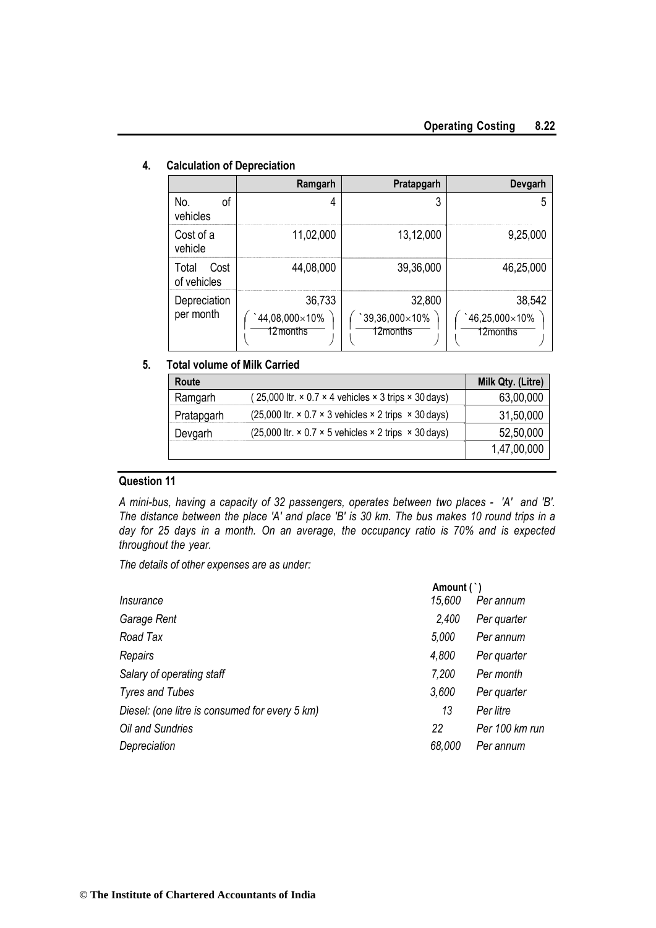|                              | Ramgarh                             | Pratapgarh                           | Devgarh                                     |
|------------------------------|-------------------------------------|--------------------------------------|---------------------------------------------|
| No.<br>οf<br>vehicles        | 4                                   | 3                                    | 5                                           |
| Cost of a<br>vehicle         | 11,02,000                           | 13,12,000                            | 9,25,000                                    |
| Cost<br>Total<br>of vehicles | 44,08,000                           | 39,36,000                            | 46,25,000                                   |
| Depreciation<br>per month    | 36,733<br>44,08,000×10%<br>12months | 32,800<br>`39,36,000×10%<br>12months | 38,542<br>$46,25,000\times10\%$<br>12months |

#### **4. Calculation of Depreciation**

#### **5. Total volume of Milk Carried**

| Route      |                                                                                    | Milk Qty. (Litre) |
|------------|------------------------------------------------------------------------------------|-------------------|
| Ramgarh    | $(25,000$ ltr. $\times$ 0.7 $\times$ 4 vehicles $\times$ 3 trips $\times$ 30 days) | 63,00,000         |
| Pratapgarh | $(25,000$ ltr. $\times$ 0.7 $\times$ 3 vehicles $\times$ 2 trips $\times$ 30 days) | 31,50,000         |
| Devgarh    | (25,000 ltr. $\times$ 0.7 $\times$ 5 vehicles $\times$ 2 trips $\times$ 30 days)   | 52,50,000         |
|            |                                                                                    | 1,47,00,000       |

#### **Question 11**

*A mini-bus, having a capacity of 32 passengers, operates between two places - 'A' and 'B'. The distance between the place 'A' and place 'B' is 30 km. The bus makes 10 round trips in a day for 25 days in a month. On an average, the occupancy ratio is 70% and is expected throughout the year.*

*The details of other expenses are as under:*

|                                                | Amount (`) |                |
|------------------------------------------------|------------|----------------|
| Insurance                                      | 15,600     | Per annum      |
| Garage Rent                                    | 2,400      | Per quarter    |
| Road Tax                                       | 5,000      | Per annum      |
| Repairs                                        | 4,800      | Per quarter    |
| Salary of operating staff                      | 7,200      | Per month      |
| <b>Tyres and Tubes</b>                         | 3,600      | Per quarter    |
| Diesel: (one litre is consumed for every 5 km) | 13         | Per litre      |
| Oil and Sundries                               | 22         | Per 100 km run |
| Depreciation                                   | 68,000     | Per annum      |
|                                                |            |                |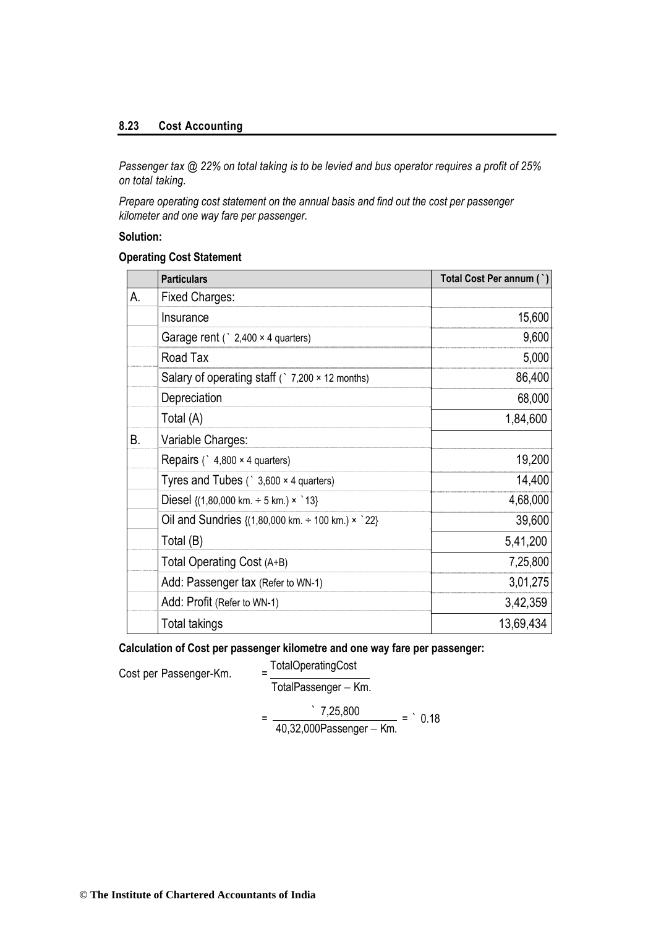#### **8.23 Cost Accounting**

*Passenger tax @ 22% on total taking is to be levied and bus operator requires a profit of 25% on total taking.*

*Prepare operating cost statement on the annual basis and find out the cost per passenger kilometer and one way fare per passenger.*

#### **Solution:**

#### **Operating Cost Statement**

|    | <b>Particulars</b>                                                                   | Total Cost Per annum (`) |
|----|--------------------------------------------------------------------------------------|--------------------------|
| А. | <b>Fixed Charges:</b>                                                                |                          |
|    | Insurance                                                                            | 15,600                   |
|    | Garage rent $($ $2,400 \times 4$ quarters)                                           | 9,600                    |
|    | Road Tax                                                                             | 5,000                    |
|    | Salary of operating staff ( $\degree$ 7,200 $\times$ 12 months)                      | 86,400                   |
|    | Depreciation                                                                         | 68,000                   |
|    | Total (A)                                                                            | 1,84,600                 |
| В. | Variable Charges:                                                                    |                          |
|    | Repairs ( $\degree$ 4,800 × 4 quarters)                                              | 19,200                   |
|    | Tyres and Tubes $($ 3,600 $\times$ 4 quarters)                                       | 14,400                   |
|    | Diesel $\{(1,80,000 \text{ km.} \div 5 \text{ km.}) \times$ 13}                      | 4,68,000                 |
|    | Oil and Sundries $\{(1,80,000 \text{ km.} \div 100 \text{ km.}) \times \degree 22\}$ | 39,600                   |
|    | Total (B)                                                                            | 5,41,200                 |
|    | Total Operating Cost (A+B)                                                           | 7,25,800                 |
|    | Add: Passenger tax (Refer to WN-1)                                                   | 3,01,275                 |
|    | Add: Profit (Refer to WN-1)                                                          | 3,42,359                 |
|    | <b>Total takings</b>                                                                 | 13,69,434                |

**Calculation of Cost per passenger kilometre and one way fare per passenger:**

Cost per Passenger-Km.

TotalOperatingCost

$$
TotalPassenger-Km.\\
$$

$$
= \frac{7,25,800}{40,32,000 \text{Passenger} - \text{Km.}} = 0.18
$$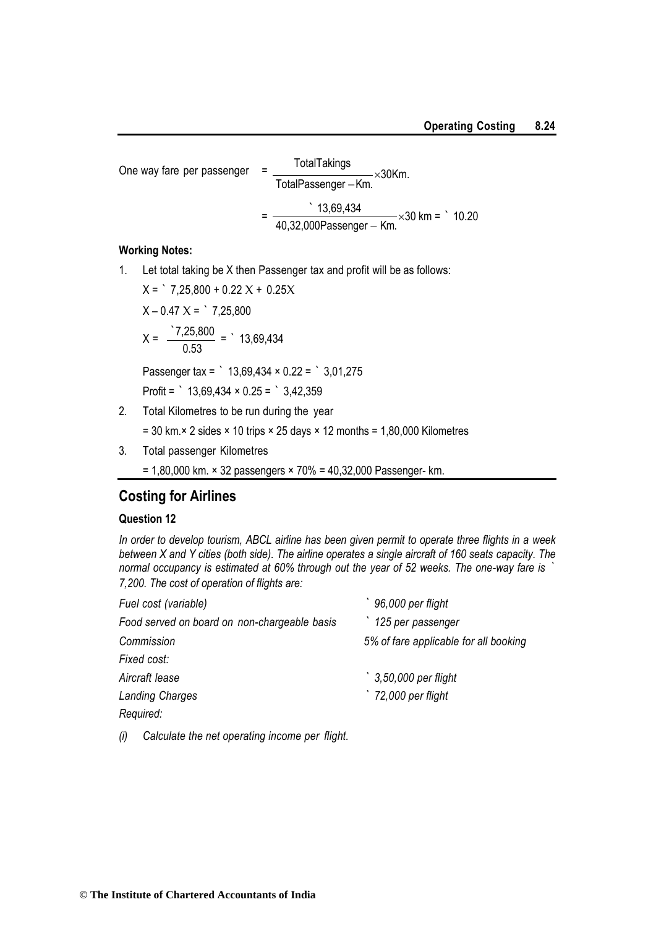One way fare per passenger = 
$$
\frac{\text{TotalTaking}}{\text{TotalPassenger} - \text{Km.}} \times 30 \text{Km.}
$$

$$
= \frac{13,69,434}{40,32,000 \text{Passenger} - \text{Km.}} \times 30 \text{ km} = 10.20
$$

#### **Working Notes:**

1. Let total taking be X then Passenger tax and profit will be as follows:

 $X =$  7,25,800 + 0.22  $X + 0.25X$  $X - 0.47 X =$  7,25,800  $X = \frac{7,25,800}{0.50}$ 0.53 = ` 13,69,434 Passenger tax = ` 13,69,434 × 0.22 = ` 3,01,275

Profit =  $\degree$  13,69,434 × 0.25 =  $\degree$  3,42,359

2. Total Kilometres to be run during the year

 $= 30$  km.× 2 sides × 10 trips × 25 days × 12 months = 1,80,000 Kilometres

- 3. Total passenger Kilometres
	- = 1,80,000 km. × 32 passengers × 70% = 40,32,000 Passenger- km.

## **Costing for Airlines**

#### **Question 12**

*In order to develop tourism, ABCL airline has been given permit to operate three flights in a week between X and Y cities (both side). The airline operates a single aircraft of 160 seats capacity. The normal occupancy is estimated at 60% through out the year of 52 weeks. The one-way fare is ` 7,200. The cost of operation of flights are:*

| Fuel cost (variable)                         | 96,000 per flight                     |
|----------------------------------------------|---------------------------------------|
| Food served on board on non-chargeable basis | 125 per passenger                     |
| Commission                                   | 5% of fare applicable for all booking |
| Fixed cost:                                  |                                       |
| Aircraft lease                               | 3,50,000 per flight                   |
| <b>Landing Charges</b>                       | 72,000 per flight                     |
| Required:                                    |                                       |
|                                              |                                       |

*(i) Calculate the net operating income per flight.*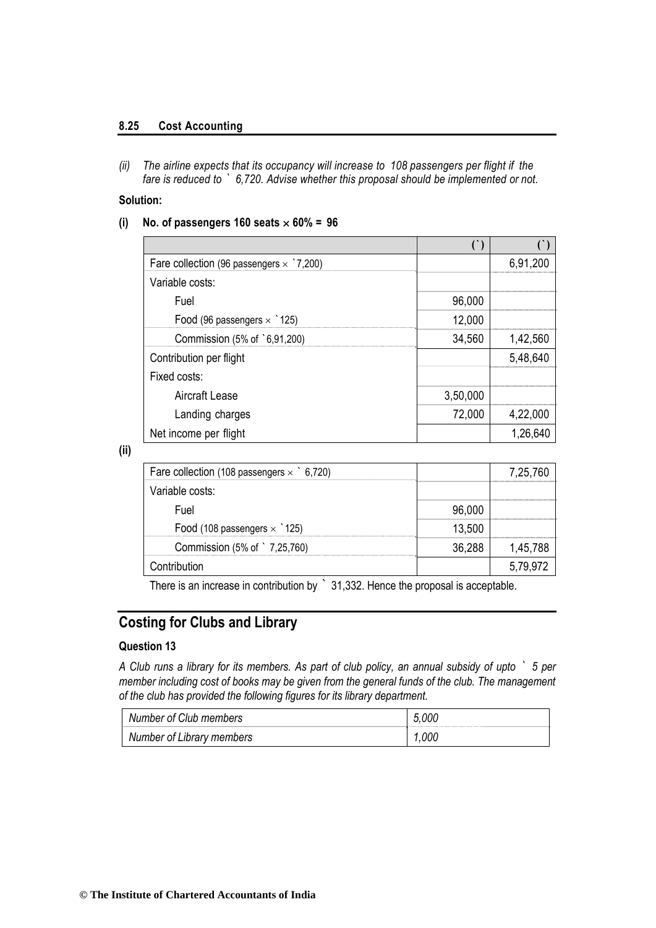#### **8.25 Cost Accounting**

*(ii) The airline expects that its occupancy will increase to 108 passengers per flight if the fare is reduced to ` 6,720. Advise whether this proposal should be implemented or not.*

#### **Solution:**

 $(i)$  No. of passengers 160 seats  $\times$  60% = 96

| Fare collection (96 passengers $\times$ `7,200) |          | 6,91,200 |
|-------------------------------------------------|----------|----------|
| Variable costs:                                 |          |          |
| Fuel                                            | 96,000   |          |
| Food (96 passengers $\times$ 125)               | 12,000   |          |
| Commission (5% of `6,91,200)                    | 34,560   | 1,42,560 |
| Contribution per flight                         |          | 5,48,640 |
| Fixed costs:                                    |          |          |
| Aircraft Lease                                  | 3,50,000 |          |
| Landing charges                                 | 72,000   | 4,22,000 |
| Net income per flight                           |          | 1,26,640 |

#### **(ii)**

| Fare collection (108 passengers $\times$ 6,720) |        | 7,25,760 |
|-------------------------------------------------|--------|----------|
| Variable costs:                                 |        |          |
| Fuel                                            | 96,000 |          |
| Food (108 passengers $\times$ 125)              | 13,500 |          |
| Commission (5% of `7,25,760)                    | 36.288 | 1,45,788 |
| contribution.                                   |        |          |

There is an increase in contribution by ` 31,332. Hence the proposal is acceptable.

## **Costing for Clubs and Library**

#### **Question 13**

*A Club runs a library for its members. As part of club policy, an annual subsidy of upto ` 5 per member including cost of books may be given from the general funds of the club. The management of the club has provided the following figures for its library department.*

| Number of Club members    | 5.000 |
|---------------------------|-------|
| Number of Library members | 1.000 |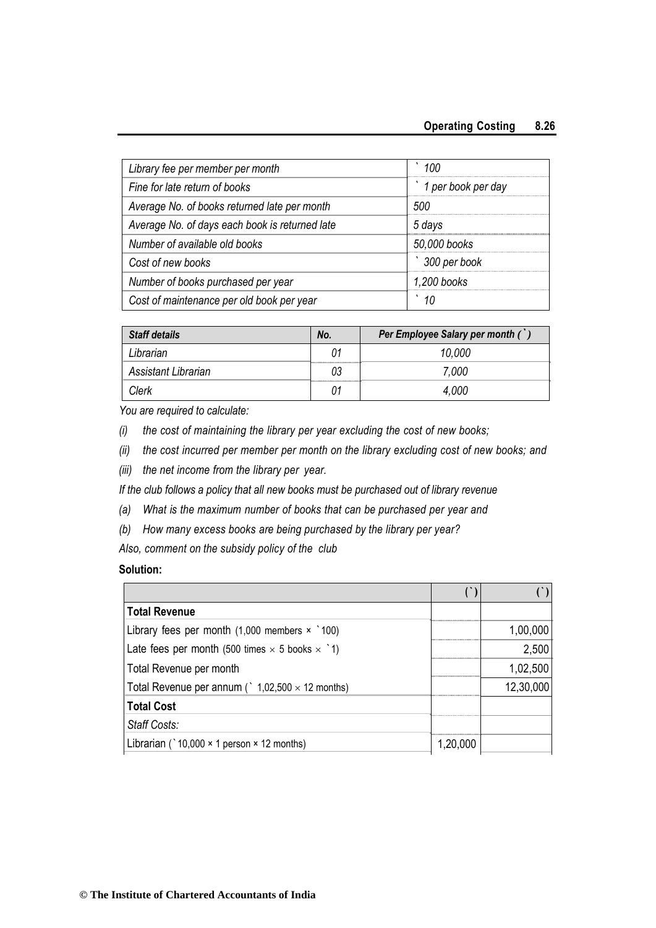| Library fee per member per month               | 100                |
|------------------------------------------------|--------------------|
| Fine for late return of books                  | 1 per book per day |
| Average No. of books returned late per month   | 500                |
| Average No. of days each book is returned late | 5 days             |
| Number of available old books                  | 50,000 books       |
| Cost of new books                              | 300 per book       |
| Number of books purchased per year             | 1,200 books        |
| Cost of maintenance per old book per year      | 10                 |

| <b>Staff details</b> | No. | Per Employee Salary per month ( |
|----------------------|-----|---------------------------------|
| Librarian            | 01  | 10.000                          |
| Assistant Librarian  | 03  | 7,000                           |
| Clerk                | 01  | 4.000                           |

*You are required to calculate:*

- *(i) the cost of maintaining the library per year excluding the cost of new books;*
- *(ii) the cost incurred per member per month on the library excluding cost of new books; and*
- *(iii) the net income from the library per year.*

*If the club follows a policy that all new books must be purchased out of library revenue*

- *(a) What is the maximum number of books that can be purchased per year and*
- *(b) How many excess books are being purchased by the library per year?*

*Also, comment on the subsidy policy of the club*

#### **Solution:**

| Total Revenue                                                    |          |           |
|------------------------------------------------------------------|----------|-----------|
| Library fees per month $(1,000$ members $\times$ 100)            |          | 1,00,000  |
| Late fees per month (500 times $\times$ 5 books $\times$ 1)      |          | 2,500     |
| Total Revenue per month                                          |          | 1,02,500  |
| Total Revenue per annum ( $\degree$ 1,02,500 $\times$ 12 months) |          | 12,30,000 |
| <b>Total Cost</b>                                                |          |           |
| Staff Costs:                                                     |          |           |
| Librarian ( $10,000 \times 1$ person $\times$ 12 months)         | 1,20,000 |           |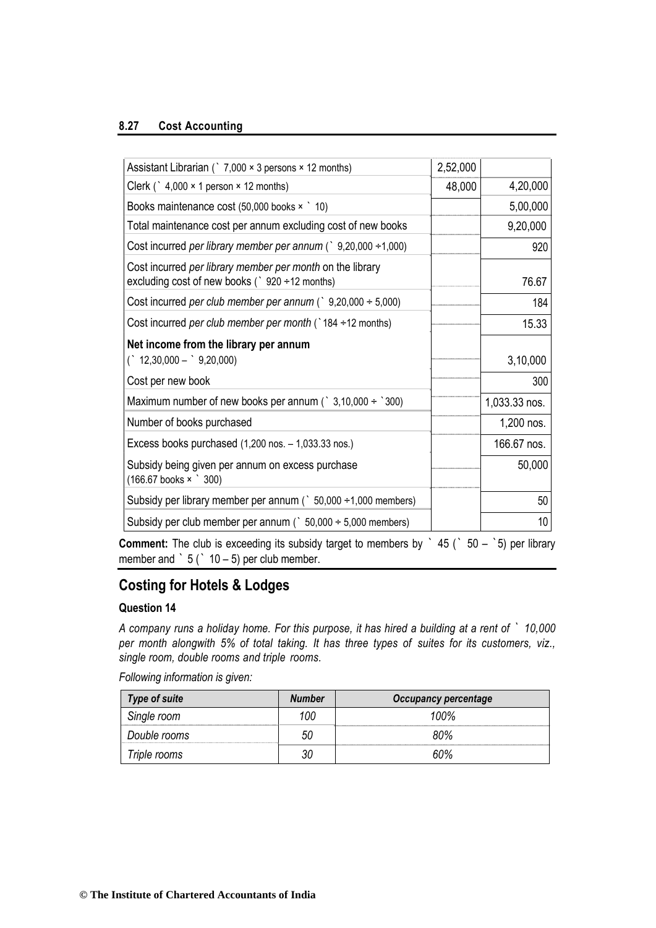#### **8.27 Cost Accounting**

| Assistant Librarian ( $\degree$ 7,000 $\times$ 3 persons $\times$ 12 months)                                | 2,52,000 |               |
|-------------------------------------------------------------------------------------------------------------|----------|---------------|
| Clerk (` $4,000 \times 1$ person $\times$ 12 months)                                                        | 48,000   | 4,20,000      |
| Books maintenance cost $(50,000$ books $\times$ 10)                                                         |          | 5,00,000      |
| Total maintenance cost per annum excluding cost of new books                                                |          | 9,20,000      |
| Cost incurred per library member per annum (` $9,20,000 \div 1,000$ )                                       |          | 920           |
| Cost incurred per library member per month on the library<br>excluding cost of new books (` 920 ÷12 months) |          | 76.67         |
| Cost incurred per club member per annum (` $9,20,000 \div 5,000$ )                                          |          | 184           |
| Cost incurred per club member per month ( $\dot{\ }$ 184 ÷ 12 months)                                       |          | 15.33         |
| Net income from the library per annum<br>$($ 12,30,000 - $\degree$ 9,20,000)                                |          | 3,10,000      |
| Cost per new book                                                                                           |          | 300           |
| Maximum number of new books per annum ( $\degree$ 3,10,000 ÷ $\degree$ 300)                                 |          | 1,033.33 nos. |
| Number of books purchased                                                                                   |          | 1,200 nos.    |
| Excess books purchased $(1,200 \text{ nos.} - 1,033.33 \text{ nos.})$                                       |          | 166.67 nos.   |
| Subsidy being given per annum on excess purchase<br>$(166.67$ books $\times$ $300)$                         |          | 50,000        |
| Subsidy per library member per annum ( $\degree$ 50,000 $\div$ 1,000 members)                               |          | 50            |
| Subsidy per club member per annum ( $\degree$ 50,000 $\div$ 5,000 members)                                  |          | 10            |

**Comment:** The club is exceeding its subsidy target to members by ` 45 (` 50 – `5) per library member and  $\dot{ }$  5 ( $\dot{ }$  10 – 5) per club member.

# **Costing for Hotels & Lodges**

#### **Question 14**

*A company runs a holiday home. For this purpose, it has hired a building at a rent of ` 10,000 per month alongwith 5% of total taking. It has three types of suites for its customers, viz., single room, double rooms and triple rooms.*

*Following information is given:*

| <b>Type of suite</b> | Number | <b>Occupancy percentage</b> |
|----------------------|--------|-----------------------------|
| Single room          | '00    | 100%                        |
| Double rooms         | 50     | 80%                         |
| Triple rooms         |        | ናበ%                         |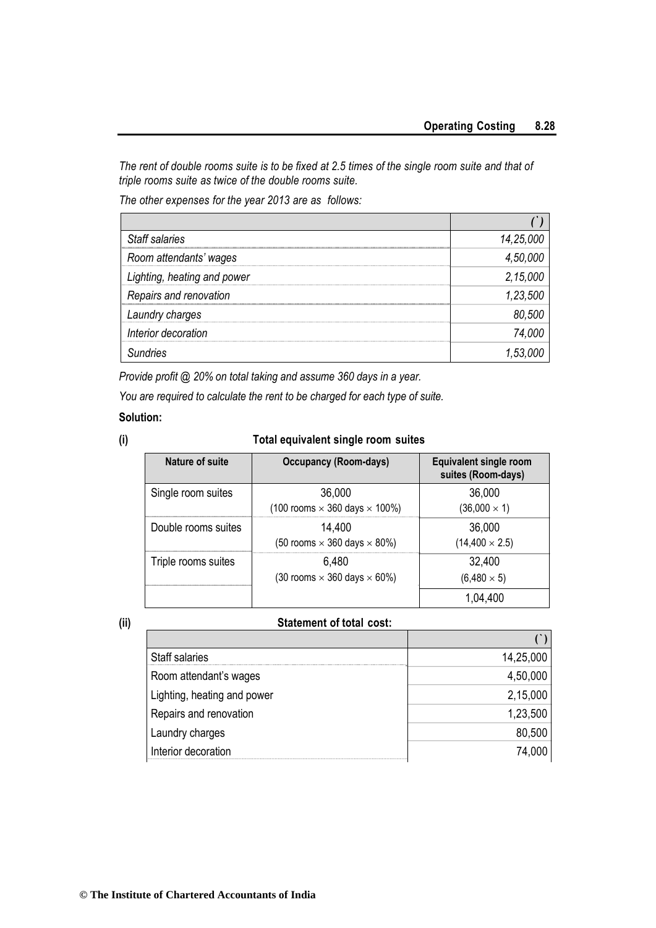*The rent of double rooms suite is to be fixed at 2.5 times of the single room suite and that of triple rooms suite as twice of the double rooms suite.*

*The other expenses for the year 2013 are as follows:*

| Staff salaries              | 14,25,000 |
|-----------------------------|-----------|
| Room attendants' wages      | 4,50,000  |
| Lighting, heating and power | 2,15,000  |
| Repairs and renovation      | 1,23,500  |
| Laundry charges             | 80,500    |
| Interior decoration         | 74,000    |
| Sundries                    | 1,53,     |

*Provide profit @ 20% on total taking and assume 360 days in a year.*

*You are required to calculate the rent to be charged for each type of suite.*

#### **Solution:**

#### **(i) Total equivalent single room suites**

| Nature of suite     | <b>Occupancy (Room-days)</b>                          | <b>Equivalent single room</b><br>suites (Room-days) |
|---------------------|-------------------------------------------------------|-----------------------------------------------------|
| Single room suites  | 36,000<br>(100 rooms $\times$ 360 days $\times$ 100%) | 36,000<br>$(36,000 \times 1)$                       |
| Double rooms suites | 14.400<br>(50 rooms $\times$ 360 days $\times$ 80%)   | 36,000<br>$(14,400 \times 2.5)$                     |
| Triple rooms suites | 6.480<br>(30 rooms $\times$ 360 days $\times$ 60%)    | 32,400<br>$(6,480 \times 5)$                        |
|                     |                                                       | 1.04.400                                            |

#### **(ii) Statement of total cost:**

| <b>Staff salaries</b>       | 14,25,000 |
|-----------------------------|-----------|
| Room attendant's wages      | 4,50,000  |
| Lighting, heating and power | 2,15,000  |
| Repairs and renovation      | 1,23,500  |
| Laundry charges             | 80,500    |
| Interior decoration         | 74,000    |